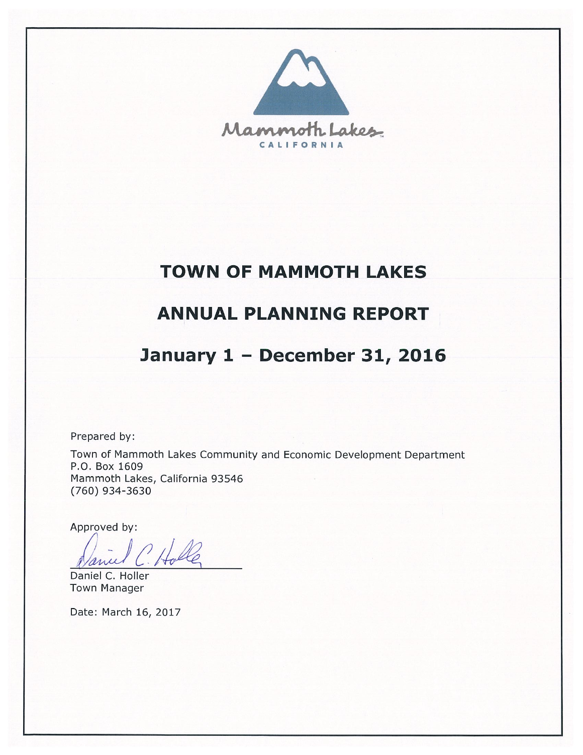

# **TOWN OF MAMMOTH LAKES**

# **ANNUAL PLANNING REPORT**

# January 1 - December 31, 2016

Prepared by:

Town of Mammoth Lakes Community and Economic Development Department P.O. Box 1609 Mammoth Lakes, California 93546 (760) 934-3630

Approved by:

anu

Daniel C. Holler **Town Manager** 

Date: March 16, 2017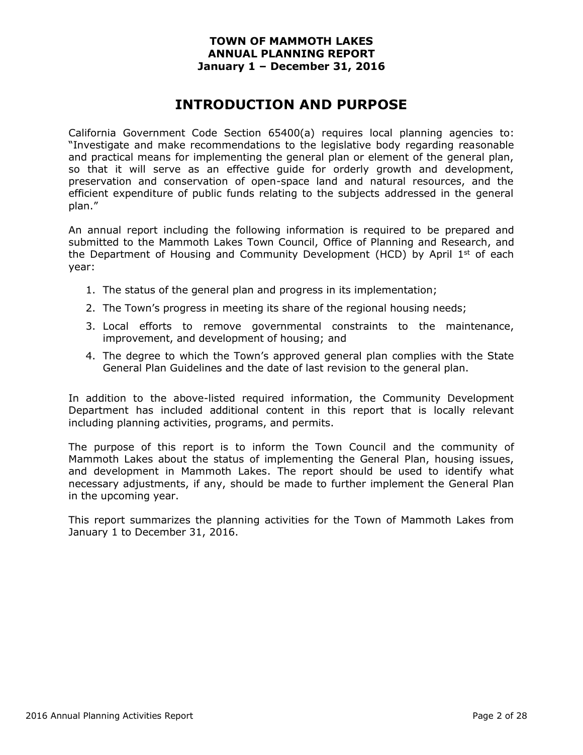# **INTRODUCTION AND PURPOSE**

California Government Code Section 65400(a) requires local planning agencies to: "Investigate and make recommendations to the legislative body regarding reasonable and practical means for implementing the general plan or element of the general plan, so that it will serve as an effective guide for orderly growth and development, preservation and conservation of open-space land and natural resources, and the efficient expenditure of public funds relating to the subjects addressed in the general plan."

An annual report including the following information is required to be prepared and submitted to the Mammoth Lakes Town Council, Office of Planning and Research, and the Department of Housing and Community Development (HCD) by April  $1<sup>st</sup>$  of each year:

- 1. The status of the general plan and progress in its implementation;
- 2. The Town's progress in meeting its share of the regional housing needs;
- 3. Local efforts to remove governmental constraints to the maintenance, improvement, and development of housing; and
- 4. The degree to which the Town's approved general plan complies with the State General Plan Guidelines and the date of last revision to the general plan.

In addition to the above-listed required information, the Community Development Department has included additional content in this report that is locally relevant including planning activities, programs, and permits.

The purpose of this report is to inform the Town Council and the community of Mammoth Lakes about the status of implementing the General Plan, housing issues, and development in Mammoth Lakes. The report should be used to identify what necessary adjustments, if any, should be made to further implement the General Plan in the upcoming year.

This report summarizes the planning activities for the Town of Mammoth Lakes from January 1 to December 31, 2016.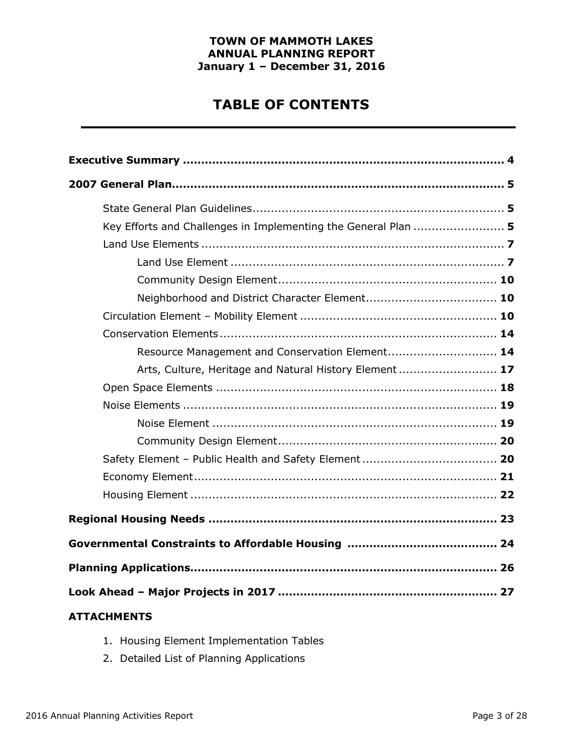# **TABLE OF CONTENTS**

| Key Efforts and Challenges in Implementing the General Plan  5 |  |
|----------------------------------------------------------------|--|
|                                                                |  |
|                                                                |  |
|                                                                |  |
|                                                                |  |
|                                                                |  |
|                                                                |  |
| Resource Management and Conservation Element 14                |  |
| Arts, Culture, Heritage and Natural History Element 17         |  |
|                                                                |  |
|                                                                |  |
|                                                                |  |
|                                                                |  |
|                                                                |  |
|                                                                |  |
|                                                                |  |
|                                                                |  |
|                                                                |  |
|                                                                |  |
|                                                                |  |
| <b>ATTACHMENTS</b>                                             |  |

- 1. Housing Element Implementation Tables
- 2. Detailed List of Planning Applications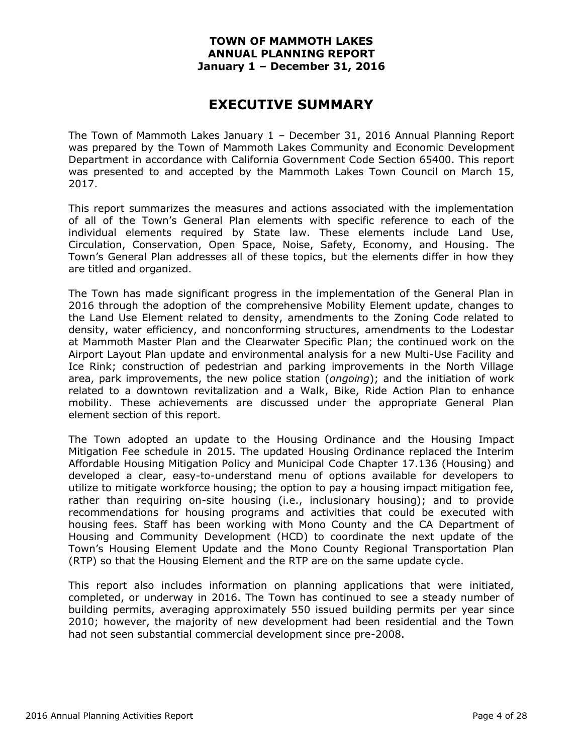# **EXECUTIVE SUMMARY**

The Town of Mammoth Lakes January 1 – December 31, 2016 Annual Planning Report was prepared by the Town of Mammoth Lakes Community and Economic Development Department in accordance with California Government Code Section 65400. This report was presented to and accepted by the Mammoth Lakes Town Council on March 15, 2017.

This report summarizes the measures and actions associated with the implementation of all of the Town's General Plan elements with specific reference to each of the individual elements required by State law. These elements include Land Use, Circulation, Conservation, Open Space, Noise, Safety, Economy, and Housing. The Town's General Plan addresses all of these topics, but the elements differ in how they are titled and organized.

The Town has made significant progress in the implementation of the General Plan in 2016 through the adoption of the comprehensive Mobility Element update, changes to the Land Use Element related to density, amendments to the Zoning Code related to density, water efficiency, and nonconforming structures, amendments to the Lodestar at Mammoth Master Plan and the Clearwater Specific Plan; the continued work on the Airport Layout Plan update and environmental analysis for a new Multi-Use Facility and Ice Rink; construction of pedestrian and parking improvements in the North Village area, park improvements, the new police station (*ongoing*); and the initiation of work related to a downtown revitalization and a Walk, Bike, Ride Action Plan to enhance mobility. These achievements are discussed under the appropriate General Plan element section of this report.

The Town adopted an update to the Housing Ordinance and the Housing Impact Mitigation Fee schedule in 2015. The updated Housing Ordinance replaced the Interim Affordable Housing Mitigation Policy and Municipal Code Chapter 17.136 (Housing) and developed a clear, easy-to-understand menu of options available for developers to utilize to mitigate workforce housing; the option to pay a housing impact mitigation fee, rather than requiring on-site housing (i.e., inclusionary housing); and to provide recommendations for housing programs and activities that could be executed with housing fees. Staff has been working with Mono County and the CA Department of Housing and Community Development (HCD) to coordinate the next update of the Town's Housing Element Update and the Mono County Regional Transportation Plan (RTP) so that the Housing Element and the RTP are on the same update cycle.

This report also includes information on planning applications that were initiated, completed, or underway in 2016. The Town has continued to see a steady number of building permits, averaging approximately 550 issued building permits per year since 2010; however, the majority of new development had been residential and the Town had not seen substantial commercial development since pre-2008.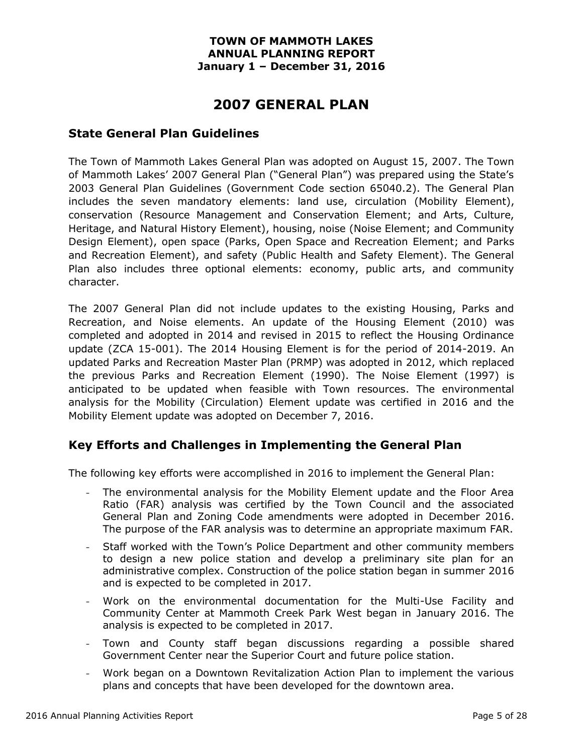# **2007 GENERAL PLAN**

## **State General Plan Guidelines**

The Town of Mammoth Lakes General Plan was adopted on August 15, 2007. The Town of Mammoth Lakes' 2007 General Plan ("General Plan") was prepared using the State's 2003 General Plan Guidelines (Government Code section 65040.2). The General Plan includes the seven mandatory elements: land use, circulation (Mobility Element), conservation (Resource Management and Conservation Element; and Arts, Culture, Heritage, and Natural History Element), housing, noise (Noise Element; and Community Design Element), open space (Parks, Open Space and Recreation Element; and Parks and Recreation Element), and safety (Public Health and Safety Element). The General Plan also includes three optional elements: economy, public arts, and community character.

The 2007 General Plan did not include updates to the existing Housing, Parks and Recreation, and Noise elements. An update of the Housing Element (2010) was completed and adopted in 2014 and revised in 2015 to reflect the Housing Ordinance update (ZCA 15-001). The 2014 Housing Element is for the period of 2014-2019. An updated Parks and Recreation Master Plan (PRMP) was adopted in 2012, which replaced the previous Parks and Recreation Element (1990). The Noise Element (1997) is anticipated to be updated when feasible with Town resources. The environmental analysis for the Mobility (Circulation) Element update was certified in 2016 and the Mobility Element update was adopted on December 7, 2016.

## **Key Efforts and Challenges in Implementing the General Plan**

The following key efforts were accomplished in 2016 to implement the General Plan:

- The environmental analysis for the Mobility Element update and the Floor Area Ratio (FAR) analysis was certified by the Town Council and the associated General Plan and Zoning Code amendments were adopted in December 2016. The purpose of the FAR analysis was to determine an appropriate maximum FAR.
- Staff worked with the Town's Police Department and other community members to design a new police station and develop a preliminary site plan for an administrative complex. Construction of the police station began in summer 2016 and is expected to be completed in 2017.
- Work on the environmental documentation for the Multi-Use Facility and Community Center at Mammoth Creek Park West began in January 2016. The analysis is expected to be completed in 2017.
- Town and County staff began discussions regarding a possible shared Government Center near the Superior Court and future police station.
- Work began on a Downtown Revitalization Action Plan to implement the various plans and concepts that have been developed for the downtown area.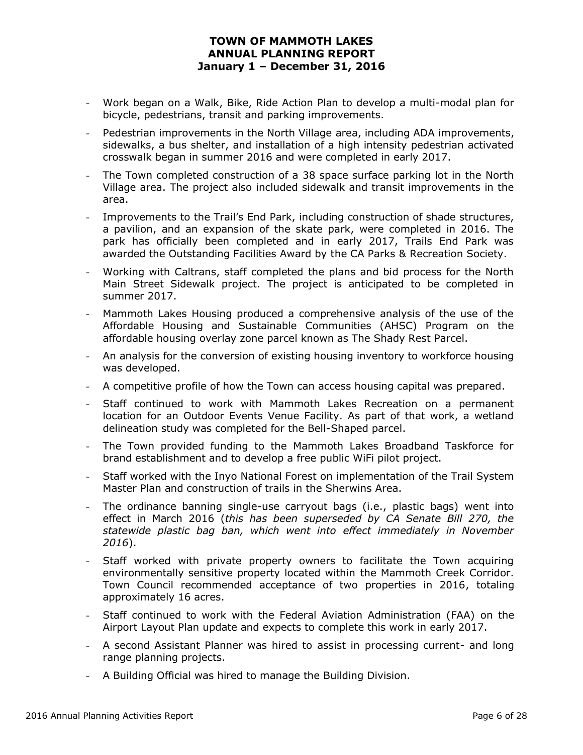- Work began on a Walk, Bike, Ride Action Plan to develop a multi-modal plan for bicycle, pedestrians, transit and parking improvements.
- Pedestrian improvements in the North Village area, including ADA improvements, sidewalks, a bus shelter, and installation of a high intensity pedestrian activated crosswalk began in summer 2016 and were completed in early 2017.
- The Town completed construction of a 38 space surface parking lot in the North Village area. The project also included sidewalk and transit improvements in the area.
- Improvements to the Trail's End Park, including construction of shade structures, a pavilion, and an expansion of the skate park, were completed in 2016. The park has officially been completed and in early 2017, Trails End Park was awarded the Outstanding Facilities Award by the CA Parks & Recreation Society.
- Working with Caltrans, staff completed the plans and bid process for the North Main Street Sidewalk project. The project is anticipated to be completed in summer 2017.
- Mammoth Lakes Housing produced a comprehensive analysis of the use of the Affordable Housing and Sustainable Communities (AHSC) Program on the affordable housing overlay zone parcel known as The Shady Rest Parcel.
- An analysis for the conversion of existing housing inventory to workforce housing was developed.
- A competitive profile of how the Town can access housing capital was prepared.
- Staff continued to work with Mammoth Lakes Recreation on a permanent location for an Outdoor Events Venue Facility. As part of that work, a wetland delineation study was completed for the Bell-Shaped parcel.
- The Town provided funding to the Mammoth Lakes Broadband Taskforce for brand establishment and to develop a free public WiFi pilot project.
- Staff worked with the Inyo National Forest on implementation of the Trail System Master Plan and construction of trails in the Sherwins Area.
- The ordinance banning single-use carryout bags (i.e., plastic bags) went into effect in March 2016 (*this has been superseded by CA Senate Bill 270, the statewide plastic bag ban, which went into effect immediately in November 2016*).
- Staff worked with private property owners to facilitate the Town acquiring environmentally sensitive property located within the Mammoth Creek Corridor. Town Council recommended acceptance of two properties in 2016, totaling approximately 16 acres.
- Staff continued to work with the Federal Aviation Administration (FAA) on the Airport Layout Plan update and expects to complete this work in early 2017.
- A second Assistant Planner was hired to assist in processing current- and long range planning projects.
- A Building Official was hired to manage the Building Division.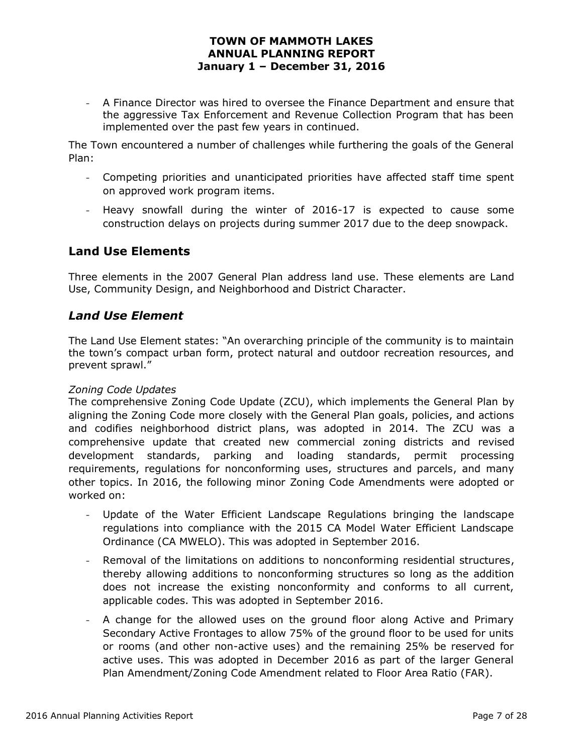- A Finance Director was hired to oversee the Finance Department and ensure that the aggressive Tax Enforcement and Revenue Collection Program that has been implemented over the past few years in continued.

The Town encountered a number of challenges while furthering the goals of the General Plan:

- Competing priorities and unanticipated priorities have affected staff time spent on approved work program items.
- Heavy snowfall during the winter of 2016-17 is expected to cause some construction delays on projects during summer 2017 due to the deep snowpack.

## **Land Use Elements**

Three elements in the 2007 General Plan address land use. These elements are Land Use, Community Design, and Neighborhood and District Character.

## *Land Use Element*

The Land Use Element states: "An overarching principle of the community is to maintain the town's compact urban form, protect natural and outdoor recreation resources, and prevent sprawl."

#### *Zoning Code Updates*

The comprehensive Zoning Code Update (ZCU), which implements the General Plan by aligning the Zoning Code more closely with the General Plan goals, policies, and actions and codifies neighborhood district plans, was adopted in 2014. The ZCU was a comprehensive update that created new commercial zoning districts and revised development standards, parking and loading standards, permit processing requirements, regulations for nonconforming uses, structures and parcels, and many other topics. In 2016, the following minor Zoning Code Amendments were adopted or worked on:

- Update of the Water Efficient Landscape Regulations bringing the landscape regulations into compliance with the 2015 CA Model Water Efficient Landscape Ordinance (CA MWELO). This was adopted in September 2016.
- Removal of the limitations on additions to nonconforming residential structures, thereby allowing additions to nonconforming structures so long as the addition does not increase the existing nonconformity and conforms to all current, applicable codes. This was adopted in September 2016.
- A change for the allowed uses on the ground floor along Active and Primary Secondary Active Frontages to allow 75% of the ground floor to be used for units or rooms (and other non-active uses) and the remaining 25% be reserved for active uses. This was adopted in December 2016 as part of the larger General Plan Amendment/Zoning Code Amendment related to Floor Area Ratio (FAR).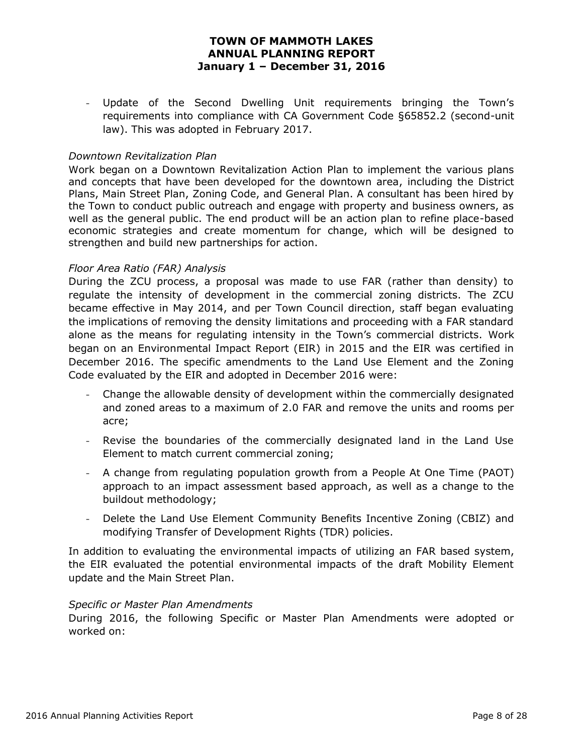- Update of the Second Dwelling Unit requirements bringing the Town's requirements into compliance with CA Government Code §65852.2 (second-unit law). This was adopted in February 2017.

#### *Downtown Revitalization Plan*

Work began on a Downtown Revitalization Action Plan to implement the various plans and concepts that have been developed for the downtown area, including the District Plans, Main Street Plan, Zoning Code, and General Plan. A consultant has been hired by the Town to conduct public outreach and engage with property and business owners, as well as the general public. The end product will be an action plan to refine place-based economic strategies and create momentum for change, which will be designed to strengthen and build new partnerships for action.

#### *Floor Area Ratio (FAR) Analysis*

During the ZCU process, a proposal was made to use FAR (rather than density) to regulate the intensity of development in the commercial zoning districts. The ZCU became effective in May 2014, and per Town Council direction, staff began evaluating the implications of removing the density limitations and proceeding with a FAR standard alone as the means for regulating intensity in the Town's commercial districts. Work began on an Environmental Impact Report (EIR) in 2015 and the EIR was certified in December 2016. The specific amendments to the Land Use Element and the Zoning Code evaluated by the EIR and adopted in December 2016 were:

- Change the allowable density of development within the commercially designated and zoned areas to a maximum of 2.0 FAR and remove the units and rooms per acre;
- Revise the boundaries of the commercially designated land in the Land Use Element to match current commercial zoning;
- A change from regulating population growth from a People At One Time (PAOT) approach to an impact assessment based approach, as well as a change to the buildout methodology;
- Delete the Land Use Element Community Benefits Incentive Zoning (CBIZ) and modifying Transfer of Development Rights (TDR) policies.

In addition to evaluating the environmental impacts of utilizing an FAR based system, the EIR evaluated the potential environmental impacts of the draft Mobility Element update and the Main Street Plan.

#### *Specific or Master Plan Amendments*

During 2016, the following Specific or Master Plan Amendments were adopted or worked on: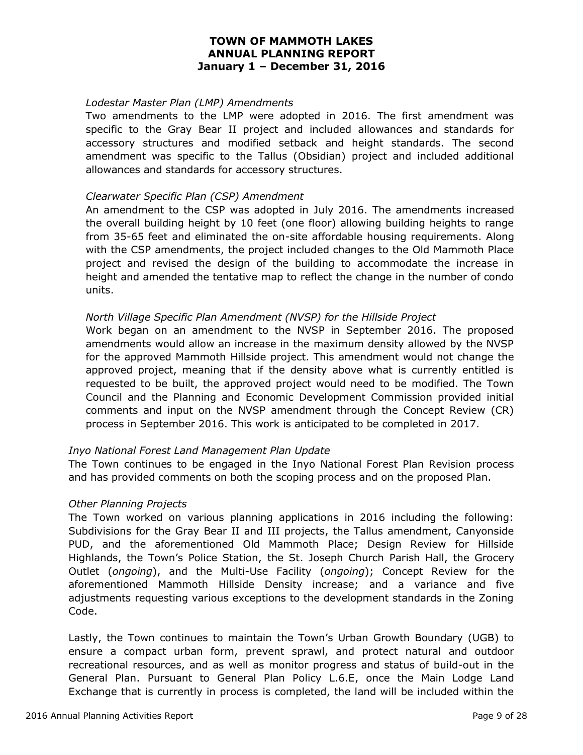#### *Lodestar Master Plan (LMP) Amendments*

Two amendments to the LMP were adopted in 2016. The first amendment was specific to the Gray Bear II project and included allowances and standards for accessory structures and modified setback and height standards. The second amendment was specific to the Tallus (Obsidian) project and included additional allowances and standards for accessory structures.

#### *Clearwater Specific Plan (CSP) Amendment*

An amendment to the CSP was adopted in July 2016. The amendments increased the overall building height by 10 feet (one floor) allowing building heights to range from 35-65 feet and eliminated the on-site affordable housing requirements. Along with the CSP amendments, the project included changes to the Old Mammoth Place project and revised the design of the building to accommodate the increase in height and amended the tentative map to reflect the change in the number of condo units.

#### *North Village Specific Plan Amendment (NVSP) for the Hillside Project*

Work began on an amendment to the NVSP in September 2016. The proposed amendments would allow an increase in the maximum density allowed by the NVSP for the approved Mammoth Hillside project. This amendment would not change the approved project, meaning that if the density above what is currently entitled is requested to be built, the approved project would need to be modified. The Town Council and the Planning and Economic Development Commission provided initial comments and input on the NVSP amendment through the Concept Review (CR) process in September 2016. This work is anticipated to be completed in 2017.

#### *Inyo National Forest Land Management Plan Update*

The Town continues to be engaged in the Inyo National Forest Plan Revision process and has provided comments on both the scoping process and on the proposed Plan.

#### *Other Planning Projects*

The Town worked on various planning applications in 2016 including the following: Subdivisions for the Gray Bear II and III projects, the Tallus amendment, Canyonside PUD, and the aforementioned Old Mammoth Place; Design Review for Hillside Highlands, the Town's Police Station, the St. Joseph Church Parish Hall, the Grocery Outlet (*ongoing*), and the Multi-Use Facility (*ongoing*); Concept Review for the aforementioned Mammoth Hillside Density increase; and a variance and five adjustments requesting various exceptions to the development standards in the Zoning Code.

Lastly, the Town continues to maintain the Town's Urban Growth Boundary (UGB) to ensure a compact urban form, prevent sprawl, and protect natural and outdoor recreational resources, and as well as monitor progress and status of build-out in the General Plan. Pursuant to General Plan Policy L.6.E, once the Main Lodge Land Exchange that is currently in process is completed, the land will be included within the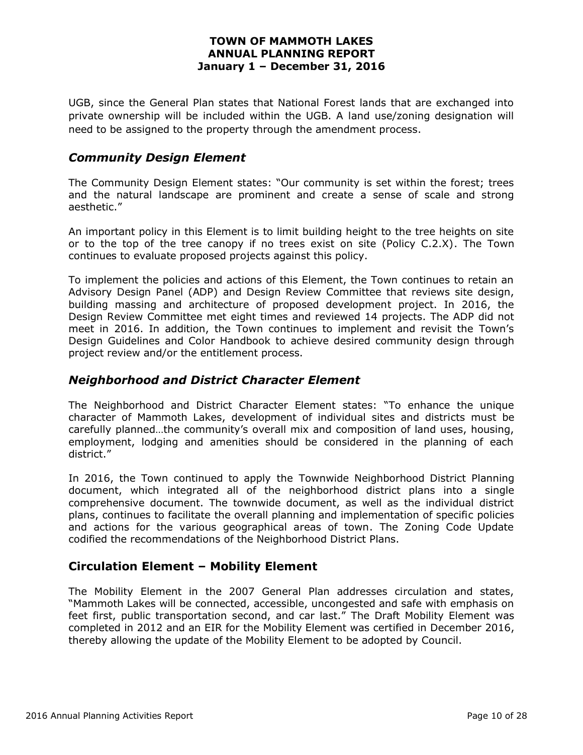UGB, since the General Plan states that National Forest lands that are exchanged into private ownership will be included within the UGB. A land use/zoning designation will need to be assigned to the property through the amendment process.

## *Community Design Element*

The Community Design Element states: "Our community is set within the forest; trees and the natural landscape are prominent and create a sense of scale and strong aesthetic."

An important policy in this Element is to limit building height to the tree heights on site or to the top of the tree canopy if no trees exist on site (Policy C.2.X). The Town continues to evaluate proposed projects against this policy.

To implement the policies and actions of this Element, the Town continues to retain an Advisory Design Panel (ADP) and Design Review Committee that reviews site design, building massing and architecture of proposed development project. In 2016, the Design Review Committee met eight times and reviewed 14 projects. The ADP did not meet in 2016. In addition, the Town continues to implement and revisit the Town's Design Guidelines and Color Handbook to achieve desired community design through project review and/or the entitlement process.

# *Neighborhood and District Character Element*

The Neighborhood and District Character Element states: "To enhance the unique character of Mammoth Lakes, development of individual sites and districts must be carefully planned…the community's overall mix and composition of land uses, housing, employment, lodging and amenities should be considered in the planning of each district."

In 2016, the Town continued to apply the Townwide Neighborhood District Planning document, which integrated all of the neighborhood district plans into a single comprehensive document. The townwide document, as well as the individual district plans, continues to facilitate the overall planning and implementation of specific policies and actions for the various geographical areas of town. The Zoning Code Update codified the recommendations of the Neighborhood District Plans.

## **Circulation Element – Mobility Element**

The Mobility Element in the 2007 General Plan addresses circulation and states, "Mammoth Lakes will be connected, accessible, uncongested and safe with emphasis on feet first, public transportation second, and car last." The Draft Mobility Element was completed in 2012 and an EIR for the Mobility Element was certified in December 2016, thereby allowing the update of the Mobility Element to be adopted by Council.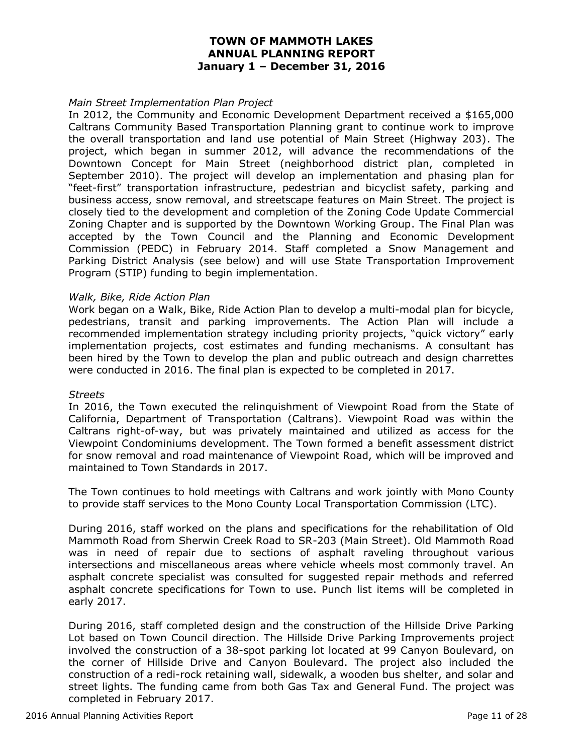#### *Main Street Implementation Plan Project*

In 2012, the Community and Economic Development Department received a \$165,000 Caltrans Community Based Transportation Planning grant to continue work to improve the overall transportation and land use potential of Main Street (Highway 203). The project, which began in summer 2012, will advance the recommendations of the Downtown Concept for Main Street (neighborhood district plan, completed in September 2010). The project will develop an implementation and phasing plan for "feet-first" transportation infrastructure, pedestrian and bicyclist safety, parking and business access, snow removal, and streetscape features on Main Street. The project is closely tied to the development and completion of the Zoning Code Update Commercial Zoning Chapter and is supported by the Downtown Working Group. The Final Plan was accepted by the Town Council and the Planning and Economic Development Commission (PEDC) in February 2014. Staff completed a Snow Management and Parking District Analysis (see below) and will use State Transportation Improvement Program (STIP) funding to begin implementation.

#### *Walk, Bike, Ride Action Plan*

Work began on a Walk, Bike, Ride Action Plan to develop a multi-modal plan for bicycle, pedestrians, transit and parking improvements. The Action Plan will include a recommended implementation strategy including priority projects, "quick victory" early implementation projects, cost estimates and funding mechanisms. A consultant has been hired by the Town to develop the plan and public outreach and design charrettes were conducted in 2016. The final plan is expected to be completed in 2017.

#### *Streets*

In 2016, the Town executed the relinquishment of Viewpoint Road from the State of California, Department of Transportation (Caltrans). Viewpoint Road was within the Caltrans right-of-way, but was privately maintained and utilized as access for the Viewpoint Condominiums development. The Town formed a benefit assessment district for snow removal and road maintenance of Viewpoint Road, which will be improved and maintained to Town Standards in 2017.

The Town continues to hold meetings with Caltrans and work jointly with Mono County to provide staff services to the Mono County Local Transportation Commission (LTC).

During 2016, staff worked on the plans and specifications for the rehabilitation of Old Mammoth Road from Sherwin Creek Road to SR-203 (Main Street). Old Mammoth Road was in need of repair due to sections of asphalt raveling throughout various intersections and miscellaneous areas where vehicle wheels most commonly travel. An asphalt concrete specialist was consulted for suggested repair methods and referred asphalt concrete specifications for Town to use. Punch list items will be completed in early 2017.

During 2016, staff completed design and the construction of the Hillside Drive Parking Lot based on Town Council direction. The Hillside Drive Parking Improvements project involved the construction of a 38-spot parking lot located at 99 Canyon Boulevard, on the corner of Hillside Drive and Canyon Boulevard. The project also included the construction of a redi-rock retaining wall, sidewalk, a wooden bus shelter, and solar and street lights. The funding came from both Gas Tax and General Fund. The project was completed in February 2017.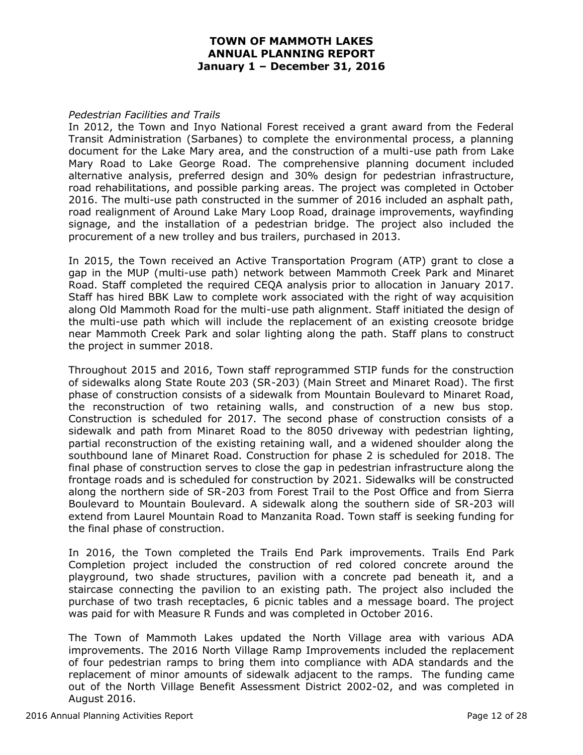#### *Pedestrian Facilities and Trails*

In 2012, the Town and Inyo National Forest received a grant award from the Federal Transit Administration (Sarbanes) to complete the environmental process, a planning document for the Lake Mary area, and the construction of a multi-use path from Lake Mary Road to Lake George Road. The comprehensive planning document included alternative analysis, preferred design and 30% design for pedestrian infrastructure, road rehabilitations, and possible parking areas. The project was completed in October 2016. The multi-use path constructed in the summer of 2016 included an asphalt path, road realignment of Around Lake Mary Loop Road, drainage improvements, wayfinding signage, and the installation of a pedestrian bridge. The project also included the procurement of a new trolley and bus trailers, purchased in 2013.

In 2015, the Town received an Active Transportation Program (ATP) grant to close a gap in the MUP (multi-use path) network between Mammoth Creek Park and Minaret Road. Staff completed the required CEQA analysis prior to allocation in January 2017. Staff has hired BBK Law to complete work associated with the right of way acquisition along Old Mammoth Road for the multi-use path alignment. Staff initiated the design of the multi-use path which will include the replacement of an existing creosote bridge near Mammoth Creek Park and solar lighting along the path. Staff plans to construct the project in summer 2018.

Throughout 2015 and 2016, Town staff reprogrammed STIP funds for the construction of sidewalks along State Route 203 (SR-203) (Main Street and Minaret Road). The first phase of construction consists of a sidewalk from Mountain Boulevard to Minaret Road, the reconstruction of two retaining walls, and construction of a new bus stop. Construction is scheduled for 2017. The second phase of construction consists of a sidewalk and path from Minaret Road to the 8050 driveway with pedestrian lighting, partial reconstruction of the existing retaining wall, and a widened shoulder along the southbound lane of Minaret Road. Construction for phase 2 is scheduled for 2018. The final phase of construction serves to close the gap in pedestrian infrastructure along the frontage roads and is scheduled for construction by 2021. Sidewalks will be constructed along the northern side of SR-203 from Forest Trail to the Post Office and from Sierra Boulevard to Mountain Boulevard. A sidewalk along the southern side of SR-203 will extend from Laurel Mountain Road to Manzanita Road. Town staff is seeking funding for the final phase of construction.

In 2016, the Town completed the Trails End Park improvements. Trails End Park Completion project included the construction of red colored concrete around the playground, two shade structures, pavilion with a concrete pad beneath it, and a staircase connecting the pavilion to an existing path. The project also included the purchase of two trash receptacles, 6 picnic tables and a message board. The project was paid for with Measure R Funds and was completed in October 2016.

The Town of Mammoth Lakes updated the North Village area with various ADA improvements. The 2016 North Village Ramp Improvements included the replacement of four pedestrian ramps to bring them into compliance with ADA standards and the replacement of minor amounts of sidewalk adjacent to the ramps. The funding came out of the North Village Benefit Assessment District 2002-02, and was completed in August 2016.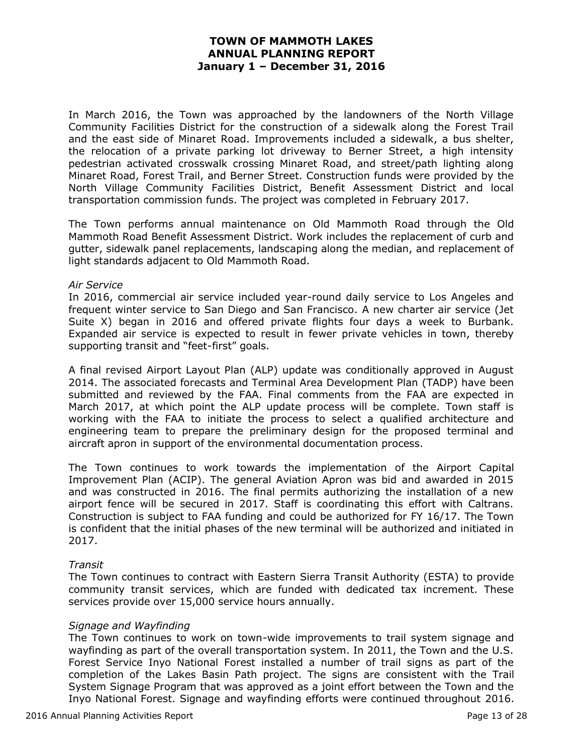In March 2016, the Town was approached by the landowners of the North Village Community Facilities District for the construction of a sidewalk along the Forest Trail and the east side of Minaret Road. Improvements included a sidewalk, a bus shelter, the relocation of a private parking lot driveway to Berner Street, a high intensity pedestrian activated crosswalk crossing Minaret Road, and street/path lighting along Minaret Road, Forest Trail, and Berner Street. Construction funds were provided by the North Village Community Facilities District, Benefit Assessment District and local transportation commission funds. The project was completed in February 2017.

The Town performs annual maintenance on Old Mammoth Road through the Old Mammoth Road Benefit Assessment District. Work includes the replacement of curb and gutter, sidewalk panel replacements, landscaping along the median, and replacement of light standards adjacent to Old Mammoth Road.

#### *Air Service*

In 2016, commercial air service included year-round daily service to Los Angeles and frequent winter service to San Diego and San Francisco. A new charter air service (Jet Suite X) began in 2016 and offered private flights four days a week to Burbank. Expanded air service is expected to result in fewer private vehicles in town, thereby supporting transit and "feet-first" goals.

A final revised Airport Layout Plan (ALP) update was conditionally approved in August 2014. The associated forecasts and Terminal Area Development Plan (TADP) have been submitted and reviewed by the FAA. Final comments from the FAA are expected in March 2017, at which point the ALP update process will be complete. Town staff is working with the FAA to initiate the process to select a qualified architecture and engineering team to prepare the preliminary design for the proposed terminal and aircraft apron in support of the environmental documentation process.

The Town continues to work towards the implementation of the Airport Capital Improvement Plan (ACIP). The general Aviation Apron was bid and awarded in 2015 and was constructed in 2016. The final permits authorizing the installation of a new airport fence will be secured in 2017. Staff is coordinating this effort with Caltrans. Construction is subject to FAA funding and could be authorized for FY 16/17. The Town is confident that the initial phases of the new terminal will be authorized and initiated in 2017.

#### *Transit*

The Town continues to contract with Eastern Sierra Transit Authority (ESTA) to provide community transit services, which are funded with dedicated tax increment. These services provide over 15,000 service hours annually.

#### *Signage and Wayfinding*

The Town continues to work on town-wide improvements to trail system signage and wayfinding as part of the overall transportation system. In 2011, the Town and the U.S. Forest Service Inyo National Forest installed a number of trail signs as part of the completion of the Lakes Basin Path project. The signs are consistent with the Trail System Signage Program that was approved as a joint effort between the Town and the Inyo National Forest. Signage and wayfinding efforts were continued throughout 2016.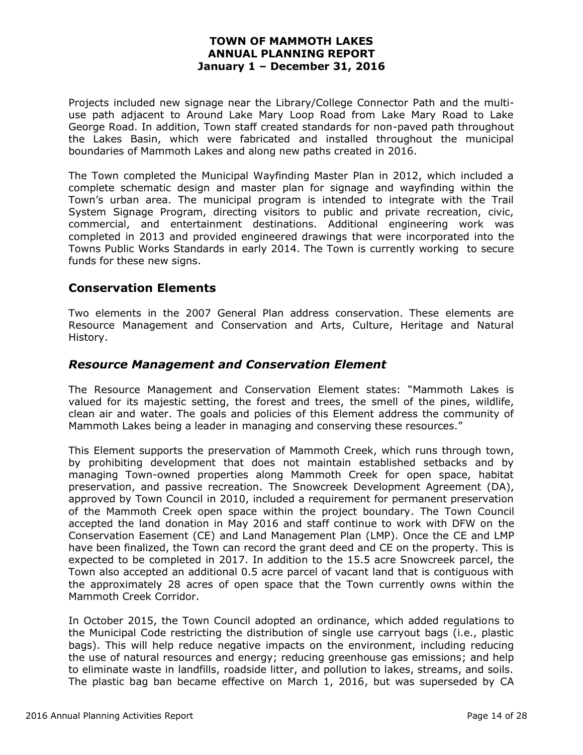Projects included new signage near the Library/College Connector Path and the multiuse path adjacent to Around Lake Mary Loop Road from Lake Mary Road to Lake George Road. In addition, Town staff created standards for non-paved path throughout the Lakes Basin, which were fabricated and installed throughout the municipal boundaries of Mammoth Lakes and along new paths created in 2016.

The Town completed the Municipal Wayfinding Master Plan in 2012, which included a complete schematic design and master plan for signage and wayfinding within the Town's urban area. The municipal program is intended to integrate with the Trail System Signage Program, directing visitors to public and private recreation, civic, commercial, and entertainment destinations. Additional engineering work was completed in 2013 and provided engineered drawings that were incorporated into the Towns Public Works Standards in early 2014. The Town is currently working to secure funds for these new signs.

## **Conservation Elements**

Two elements in the 2007 General Plan address conservation. These elements are Resource Management and Conservation and Arts, Culture, Heritage and Natural History.

## *Resource Management and Conservation Element*

The Resource Management and Conservation Element states: "Mammoth Lakes is valued for its majestic setting, the forest and trees, the smell of the pines, wildlife, clean air and water. The goals and policies of this Element address the community of Mammoth Lakes being a leader in managing and conserving these resources."

This Element supports the preservation of Mammoth Creek, which runs through town, by prohibiting development that does not maintain established setbacks and by managing Town-owned properties along Mammoth Creek for open space, habitat preservation, and passive recreation. The Snowcreek Development Agreement (DA), approved by Town Council in 2010, included a requirement for permanent preservation of the Mammoth Creek open space within the project boundary. The Town Council accepted the land donation in May 2016 and staff continue to work with DFW on the Conservation Easement (CE) and Land Management Plan (LMP). Once the CE and LMP have been finalized, the Town can record the grant deed and CE on the property. This is expected to be completed in 2017. In addition to the 15.5 acre Snowcreek parcel, the Town also accepted an additional 0.5 acre parcel of vacant land that is contiguous with the approximately 28 acres of open space that the Town currently owns within the Mammoth Creek Corridor.

In October 2015, the Town Council adopted an ordinance, which added regulations to the Municipal Code restricting the distribution of single use carryout bags (i.e., plastic bags). This will help reduce negative impacts on the environment, including reducing the use of natural resources and energy; reducing greenhouse gas emissions; and help to eliminate waste in landfills, roadside litter, and pollution to lakes, streams, and soils. The plastic bag ban became effective on March 1, 2016, but was superseded by CA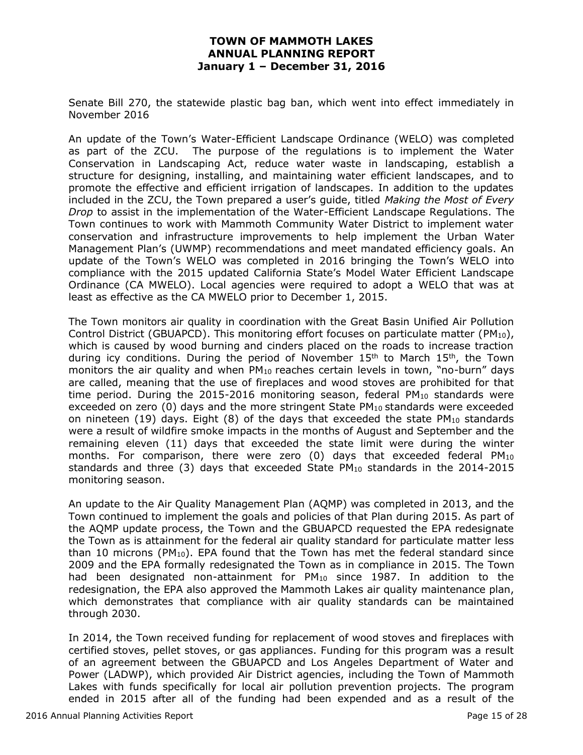Senate Bill 270, the statewide plastic bag ban, which went into effect immediately in November 2016

An update of the Town's Water-Efficient Landscape Ordinance (WELO) was completed as part of the ZCU. The purpose of the regulations is to implement the Water Conservation in Landscaping Act, reduce water waste in landscaping, establish a structure for designing, installing, and maintaining water efficient landscapes, and to promote the effective and efficient irrigation of landscapes. In addition to the updates included in the ZCU, the Town prepared a user's guide, titled *Making the Most of Every Drop* to assist in the implementation of the Water-Efficient Landscape Regulations. The Town continues to work with Mammoth Community Water District to implement water conservation and infrastructure improvements to help implement the Urban Water Management Plan's (UWMP) recommendations and meet mandated efficiency goals. An update of the Town's WELO was completed in 2016 bringing the Town's WELO into compliance with the 2015 updated California State's Model Water Efficient Landscape Ordinance (CA MWELO). Local agencies were required to adopt a WELO that was at least as effective as the CA MWELO prior to December 1, 2015.

The Town monitors air quality in coordination with the Great Basin Unified Air Pollution Control District (GBUAPCD). This monitoring effort focuses on particulate matter ( $PM_{10}$ ), which is caused by wood burning and cinders placed on the roads to increase traction during icy conditions. During the period of November  $15<sup>th</sup>$  to March  $15<sup>th</sup>$ , the Town monitors the air quality and when  $PM_{10}$  reaches certain levels in town, "no-burn" days are called, meaning that the use of fireplaces and wood stoves are prohibited for that time period. During the  $2015$ -2016 monitoring season, federal PM<sub>10</sub> standards were exceeded on zero  $(0)$  days and the more stringent State PM<sub>10</sub> standards were exceeded on nineteen (19) days. Eight (8) of the days that exceeded the state  $PM_{10}$  standards were a result of wildfire smoke impacts in the months of August and September and the remaining eleven (11) days that exceeded the state limit were during the winter months. For comparison, there were zero (0) days that exceeded federal PM<sup>10</sup> standards and three (3) days that exceeded State  $PM_{10}$  standards in the 2014-2015 monitoring season.

An update to the Air Quality Management Plan (AQMP) was completed in 2013, and the Town continued to implement the goals and policies of that Plan during 2015. As part of the AQMP update process, the Town and the GBUAPCD requested the EPA redesignate the Town as is attainment for the federal air quality standard for particulate matter less than 10 microns (PM<sub>10</sub>). EPA found that the Town has met the federal standard since 2009 and the EPA formally redesignated the Town as in compliance in 2015. The Town had been designated non-attainment for PM<sub>10</sub> since 1987. In addition to the redesignation, the EPA also approved the Mammoth Lakes air quality maintenance plan, which demonstrates that compliance with air quality standards can be maintained through 2030.

In 2014, the Town received funding for replacement of wood stoves and fireplaces with certified stoves, pellet stoves, or gas appliances. Funding for this program was a result of an agreement between the GBUAPCD and Los Angeles Department of Water and Power (LADWP), which provided Air District agencies, including the Town of Mammoth Lakes with funds specifically for local air pollution prevention projects. The program ended in 2015 after all of the funding had been expended and as a result of the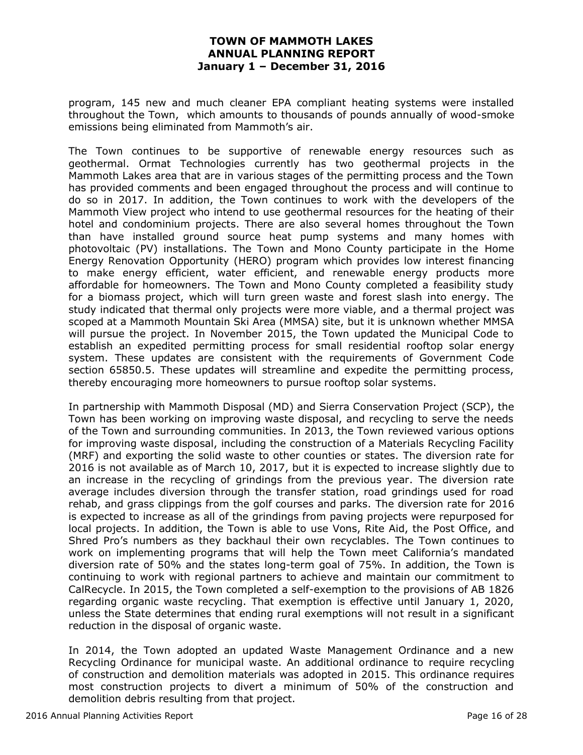program, 145 new and much cleaner EPA compliant heating systems were installed throughout the Town, which amounts to thousands of pounds annually of wood-smoke emissions being eliminated from Mammoth's air.

The Town continues to be supportive of renewable energy resources such as geothermal. Ormat Technologies currently has two geothermal projects in the Mammoth Lakes area that are in various stages of the permitting process and the Town has provided comments and been engaged throughout the process and will continue to do so in 2017. In addition, the Town continues to work with the developers of the Mammoth View project who intend to use geothermal resources for the heating of their hotel and condominium projects. There are also several homes throughout the Town than have installed ground source heat pump systems and many homes with photovoltaic (PV) installations. The Town and Mono County participate in the Home Energy Renovation Opportunity (HERO) program which provides low interest financing to make energy efficient, water efficient, and renewable energy products more affordable for homeowners. The Town and Mono County completed a feasibility study for a biomass project, which will turn green waste and forest slash into energy. The study indicated that thermal only projects were more viable, and a thermal project was scoped at a Mammoth Mountain Ski Area (MMSA) site, but it is unknown whether MMSA will pursue the project. In November 2015, the Town updated the Municipal Code to establish an expedited permitting process for small residential rooftop solar energy system. These updates are consistent with the requirements of Government Code section 65850.5. These updates will streamline and expedite the permitting process, thereby encouraging more homeowners to pursue rooftop solar systems.

In partnership with Mammoth Disposal (MD) and Sierra Conservation Project (SCP), the Town has been working on improving waste disposal, and recycling to serve the needs of the Town and surrounding communities. In 2013, the Town reviewed various options for improving waste disposal, including the construction of a Materials Recycling Facility (MRF) and exporting the solid waste to other counties or states. The diversion rate for 2016 is not available as of March 10, 2017, but it is expected to increase slightly due to an increase in the recycling of grindings from the previous year. The diversion rate average includes diversion through the transfer station, road grindings used for road rehab, and grass clippings from the golf courses and parks. The diversion rate for 2016 is expected to increase as all of the grindings from paving projects were repurposed for local projects. In addition, the Town is able to use Vons, Rite Aid, the Post Office, and Shred Pro's numbers as they backhaul their own recyclables. The Town continues to work on implementing programs that will help the Town meet California's mandated diversion rate of 50% and the states long-term goal of 75%. In addition, the Town is continuing to work with regional partners to achieve and maintain our commitment to CalRecycle. In 2015, the Town completed a self-exemption to the provisions of AB 1826 regarding organic waste recycling. That exemption is effective until January 1, 2020, unless the State determines that ending rural exemptions will not result in a significant reduction in the disposal of organic waste.

In 2014, the Town adopted an updated Waste Management Ordinance and a new Recycling Ordinance for municipal waste. An additional ordinance to require recycling of construction and demolition materials was adopted in 2015. This ordinance requires most construction projects to divert a minimum of 50% of the construction and demolition debris resulting from that project.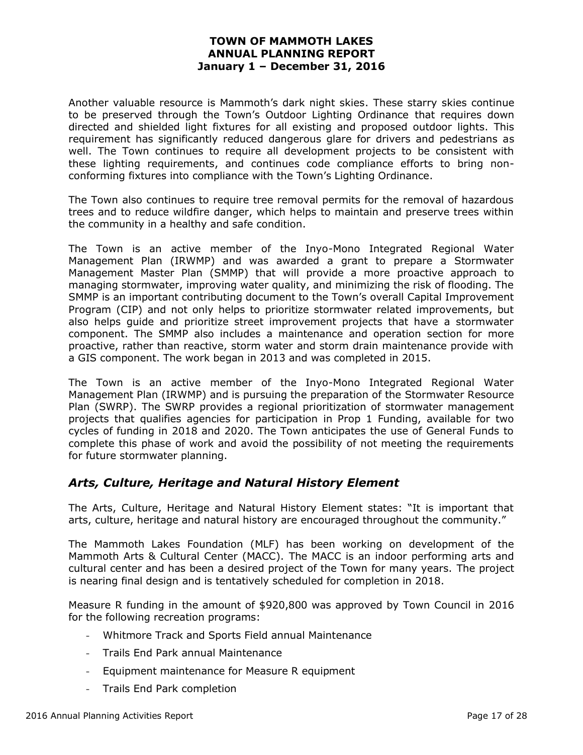Another valuable resource is Mammoth's dark night skies. These starry skies continue to be preserved through the Town's Outdoor Lighting Ordinance that requires down directed and shielded light fixtures for all existing and proposed outdoor lights. This requirement has significantly reduced dangerous glare for drivers and pedestrians as well. The Town continues to require all development projects to be consistent with these lighting requirements, and continues code compliance efforts to bring nonconforming fixtures into compliance with the Town's Lighting Ordinance.

The Town also continues to require tree removal permits for the removal of hazardous trees and to reduce wildfire danger, which helps to maintain and preserve trees within the community in a healthy and safe condition.

The Town is an active member of the Inyo-Mono Integrated Regional Water Management Plan (IRWMP) and was awarded a grant to prepare a Stormwater Management Master Plan (SMMP) that will provide a more proactive approach to managing stormwater, improving water quality, and minimizing the risk of flooding. The SMMP is an important contributing document to the Town's overall Capital Improvement Program (CIP) and not only helps to prioritize stormwater related improvements, but also helps guide and prioritize street improvement projects that have a stormwater component. The SMMP also includes a maintenance and operation section for more proactive, rather than reactive, storm water and storm drain maintenance provide with a GIS component. The work began in 2013 and was completed in 2015.

The Town is an active member of the Inyo-Mono Integrated Regional Water Management Plan (IRWMP) and is pursuing the preparation of the Stormwater Resource Plan (SWRP). The SWRP provides a regional prioritization of stormwater management projects that qualifies agencies for participation in Prop 1 Funding, available for two cycles of funding in 2018 and 2020. The Town anticipates the use of General Funds to complete this phase of work and avoid the possibility of not meeting the requirements for future stormwater planning.

# *Arts, Culture, Heritage and Natural History Element*

The Arts, Culture, Heritage and Natural History Element states: "It is important that arts, culture, heritage and natural history are encouraged throughout the community."

The Mammoth Lakes Foundation (MLF) has been working on development of the Mammoth Arts & Cultural Center (MACC). The MACC is an indoor performing arts and cultural center and has been a desired project of the Town for many years. The project is nearing final design and is tentatively scheduled for completion in 2018.

Measure R funding in the amount of \$920,800 was approved by Town Council in 2016 for the following recreation programs:

- Whitmore Track and Sports Field annual Maintenance
- Trails End Park annual Maintenance
- Equipment maintenance for Measure R equipment
- Trails End Park completion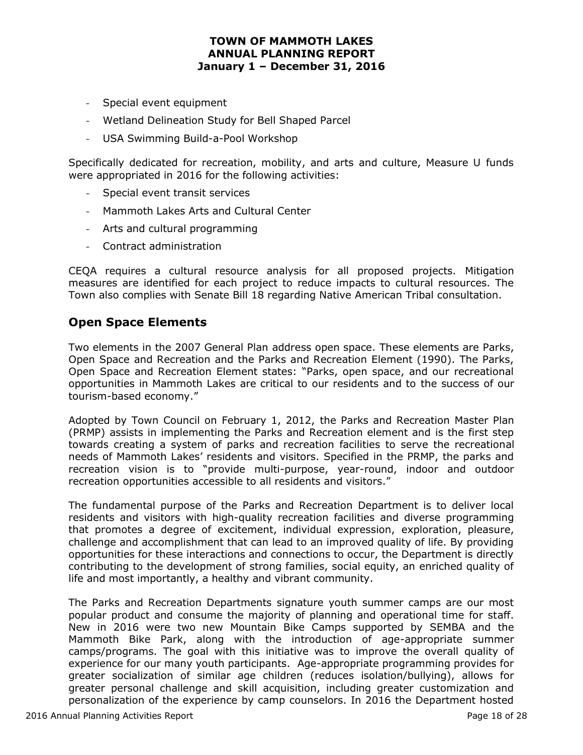- Special event equipment
- Wetland Delineation Study for Bell Shaped Parcel
- USA Swimming Build-a-Pool Workshop

Specifically dedicated for recreation, mobility, and arts and culture, Measure U funds were appropriated in 2016 for the following activities:

- Special event transit services
- Mammoth Lakes Arts and Cultural Center
- Arts and cultural programming
- Contract administration

CEQA requires a cultural resource analysis for all proposed projects. Mitigation measures are identified for each project to reduce impacts to cultural resources. The Town also complies with Senate Bill 18 regarding Native American Tribal consultation.

## **Open Space Elements**

Two elements in the 2007 General Plan address open space. These elements are Parks, Open Space and Recreation and the Parks and Recreation Element (1990). The Parks, Open Space and Recreation Element states: "Parks, open space, and our recreational opportunities in Mammoth Lakes are critical to our residents and to the success of our tourism-based economy."

Adopted by Town Council on February 1, 2012, the Parks and Recreation Master Plan (PRMP) assists in implementing the Parks and Recreation element and is the first step towards creating a system of parks and recreation facilities to serve the recreational needs of Mammoth Lakes' residents and visitors. Specified in the PRMP, the parks and recreation vision is to "provide multi-purpose, year-round, indoor and outdoor recreation opportunities accessible to all residents and visitors."

The fundamental purpose of the Parks and Recreation Department is to deliver local residents and visitors with high-quality recreation facilities and diverse programming that promotes a degree of excitement, individual expression, exploration, pleasure, challenge and accomplishment that can lead to an improved quality of life. By providing opportunities for these interactions and connections to occur, the Department is directly contributing to the development of strong families, social equity, an enriched quality of life and most importantly, a healthy and vibrant community.

The Parks and Recreation Departments signature youth summer camps are our most popular product and consume the majority of planning and operational time for staff. New in 2016 were two new Mountain Bike Camps supported by SEMBA and the Mammoth Bike Park, along with the introduction of age-appropriate summer camps/programs. The goal with this initiative was to improve the overall quality of experience for our many youth participants. Age-appropriate programming provides for greater socialization of similar age children (reduces isolation/bullying), allows for greater personal challenge and skill acquisition, including greater customization and personalization of the experience by camp counselors. In 2016 the Department hosted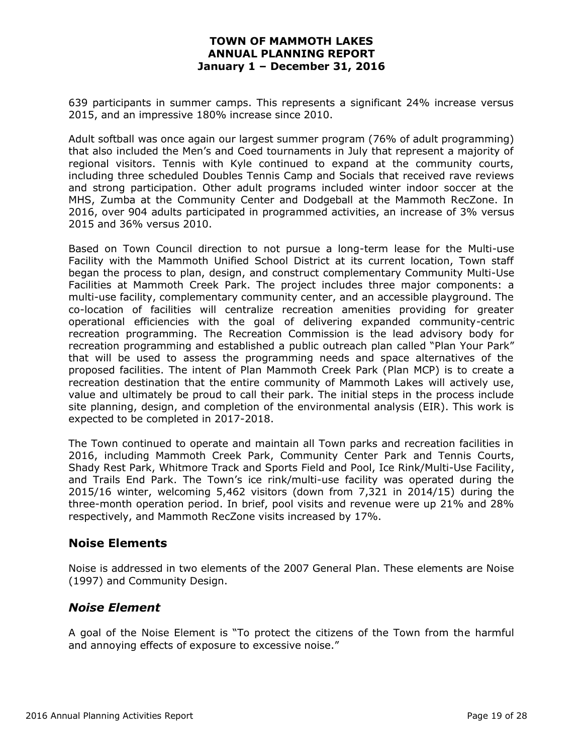639 participants in summer camps. This represents a significant 24% increase versus 2015, and an impressive 180% increase since 2010.

Adult softball was once again our largest summer program (76% of adult programming) that also included the Men's and Coed tournaments in July that represent a majority of regional visitors. Tennis with Kyle continued to expand at the community courts, including three scheduled Doubles Tennis Camp and Socials that received rave reviews and strong participation. Other adult programs included winter indoor soccer at the MHS, Zumba at the Community Center and Dodgeball at the Mammoth RecZone. In 2016, over 904 adults participated in programmed activities, an increase of 3% versus 2015 and 36% versus 2010.

Based on Town Council direction to not pursue a long-term lease for the Multi-use Facility with the Mammoth Unified School District at its current location, Town staff began the process to plan, design, and construct complementary Community Multi-Use Facilities at Mammoth Creek Park. The project includes three major components: a multi-use facility, complementary community center, and an accessible playground. The co-location of facilities will centralize recreation amenities providing for greater operational efficiencies with the goal of delivering expanded community-centric recreation programming. The Recreation Commission is the lead advisory body for recreation programming and established a public outreach plan called "Plan Your Park" that will be used to assess the programming needs and space alternatives of the proposed facilities. The intent of Plan Mammoth Creek Park (Plan MCP) is to create a recreation destination that the entire community of Mammoth Lakes will actively use, value and ultimately be proud to call their park. The initial steps in the process include site planning, design, and completion of the environmental analysis (EIR). This work is expected to be completed in 2017-2018.

The Town continued to operate and maintain all Town parks and recreation facilities in 2016, including Mammoth Creek Park, Community Center Park and Tennis Courts, Shady Rest Park, Whitmore Track and Sports Field and Pool, Ice Rink/Multi-Use Facility, and Trails End Park. The Town's ice rink/multi-use facility was operated during the 2015/16 winter, welcoming 5,462 visitors (down from 7,321 in 2014/15) during the three-month operation period. In brief, pool visits and revenue were up 21% and 28% respectively, and Mammoth RecZone visits increased by 17%.

## **Noise Elements**

Noise is addressed in two elements of the 2007 General Plan. These elements are Noise (1997) and Community Design.

## *Noise Element*

A goal of the Noise Element is "To protect the citizens of the Town from the harmful and annoying effects of exposure to excessive noise."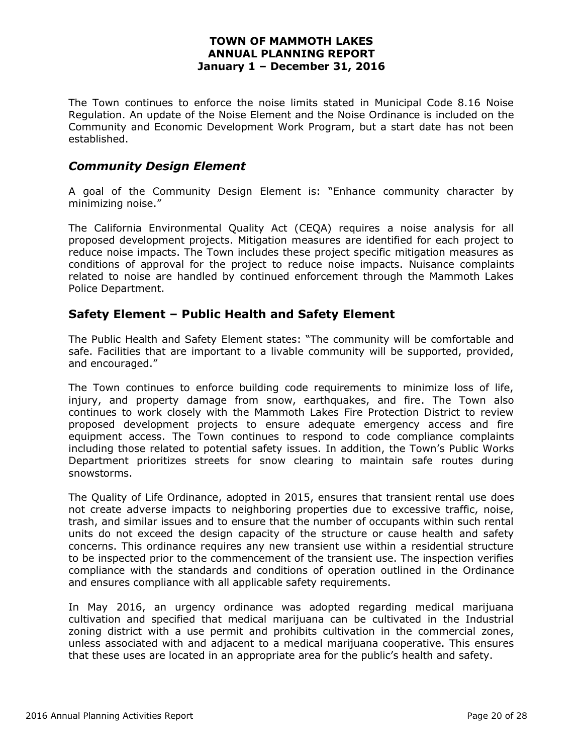The Town continues to enforce the noise limits stated in Municipal Code 8.16 Noise Regulation. An update of the Noise Element and the Noise Ordinance is included on the Community and Economic Development Work Program, but a start date has not been established.

### *Community Design Element*

A goal of the Community Design Element is: "Enhance community character by minimizing noise."

The California Environmental Quality Act (CEQA) requires a noise analysis for all proposed development projects. Mitigation measures are identified for each project to reduce noise impacts. The Town includes these project specific mitigation measures as conditions of approval for the project to reduce noise impacts. Nuisance complaints related to noise are handled by continued enforcement through the Mammoth Lakes Police Department.

### **Safety Element – Public Health and Safety Element**

The Public Health and Safety Element states: "The community will be comfortable and safe. Facilities that are important to a livable community will be supported, provided, and encouraged."

The Town continues to enforce building code requirements to minimize loss of life, injury, and property damage from snow, earthquakes, and fire. The Town also continues to work closely with the Mammoth Lakes Fire Protection District to review proposed development projects to ensure adequate emergency access and fire equipment access. The Town continues to respond to code compliance complaints including those related to potential safety issues. In addition, the Town's Public Works Department prioritizes streets for snow clearing to maintain safe routes during snowstorms.

The Quality of Life Ordinance, adopted in 2015, ensures that transient rental use does not create adverse impacts to neighboring properties due to excessive traffic, noise, trash, and similar issues and to ensure that the number of occupants within such rental units do not exceed the design capacity of the structure or cause health and safety concerns. This ordinance requires any new transient use within a residential structure to be inspected prior to the commencement of the transient use. The inspection verifies compliance with the standards and conditions of operation outlined in the Ordinance and ensures compliance with all applicable safety requirements.

In May 2016, an urgency ordinance was adopted regarding medical marijuana cultivation and specified that medical marijuana can be cultivated in the Industrial zoning district with a use permit and prohibits cultivation in the commercial zones, unless associated with and adjacent to a medical marijuana cooperative. This ensures that these uses are located in an appropriate area for the public's health and safety.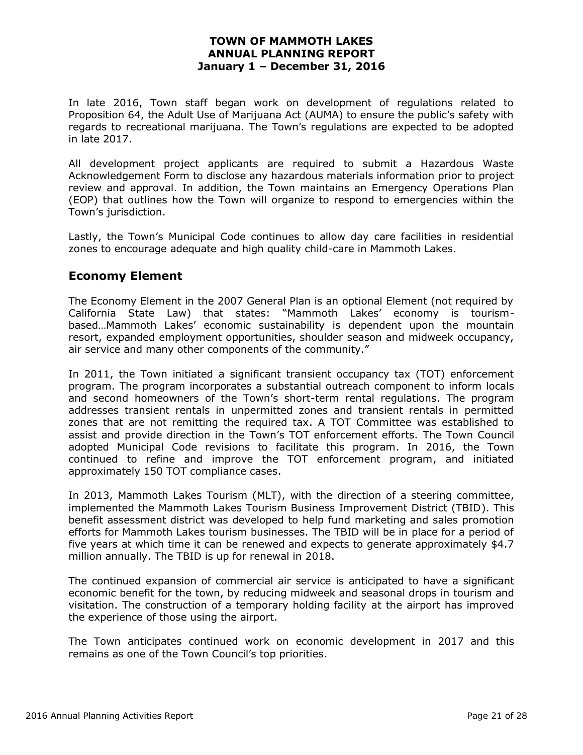In late 2016, Town staff began work on development of regulations related to Proposition 64, the Adult Use of Marijuana Act (AUMA) to ensure the public's safety with regards to recreational marijuana. The Town's regulations are expected to be adopted in late 2017.

All development project applicants are required to submit a Hazardous Waste Acknowledgement Form to disclose any hazardous materials information prior to project review and approval. In addition, the Town maintains an Emergency Operations Plan (EOP) that outlines how the Town will organize to respond to emergencies within the Town's jurisdiction.

Lastly, the Town's Municipal Code continues to allow day care facilities in residential zones to encourage adequate and high quality child-care in Mammoth Lakes.

## **Economy Element**

The Economy Element in the 2007 General Plan is an optional Element (not required by California State Law) that states: "Mammoth Lakes' economy is tourismbased…Mammoth Lakes' economic sustainability is dependent upon the mountain resort, expanded employment opportunities, shoulder season and midweek occupancy, air service and many other components of the community."

In 2011, the Town initiated a significant transient occupancy tax (TOT) enforcement program. The program incorporates a substantial outreach component to inform locals and second homeowners of the Town's short-term rental regulations. The program addresses transient rentals in unpermitted zones and transient rentals in permitted zones that are not remitting the required tax. A TOT Committee was established to assist and provide direction in the Town's TOT enforcement efforts. The Town Council adopted Municipal Code revisions to facilitate this program. In 2016, the Town continued to refine and improve the TOT enforcement program, and initiated approximately 150 TOT compliance cases.

In 2013, Mammoth Lakes Tourism (MLT), with the direction of a steering committee, implemented the Mammoth Lakes Tourism Business Improvement District (TBID). This benefit assessment district was developed to help fund marketing and sales promotion efforts for Mammoth Lakes tourism businesses. The TBID will be in place for a period of five years at which time it can be renewed and expects to generate approximately \$4.7 million annually. The TBID is up for renewal in 2018.

The continued expansion of commercial air service is anticipated to have a significant economic benefit for the town, by reducing midweek and seasonal drops in tourism and visitation. The construction of a temporary holding facility at the airport has improved the experience of those using the airport.

The Town anticipates continued work on economic development in 2017 and this remains as one of the Town Council's top priorities.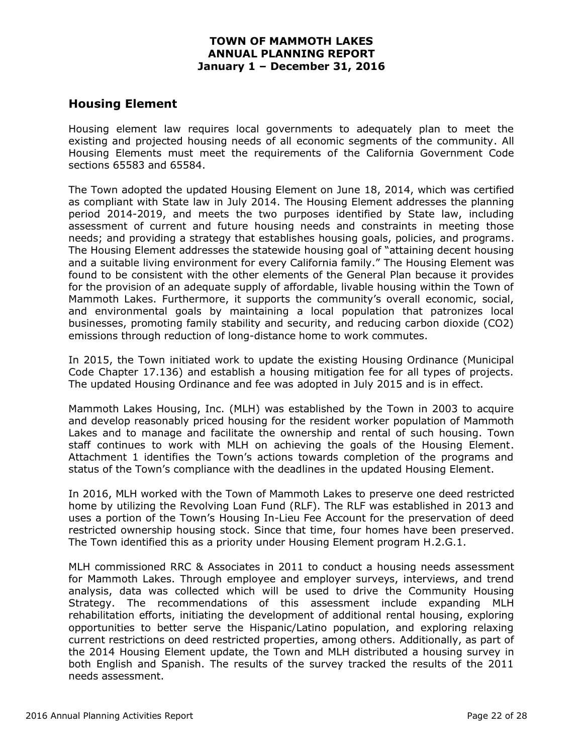## **Housing Element**

Housing element law requires local governments to adequately plan to meet the existing and projected housing needs of all economic segments of the community. All Housing Elements must meet the requirements of the California Government Code sections 65583 and 65584.

The Town adopted the updated Housing Element on June 18, 2014, which was certified as compliant with State law in July 2014. The Housing Element addresses the planning period 2014-2019, and meets the two purposes identified by State law, including assessment of current and future housing needs and constraints in meeting those needs; and providing a strategy that establishes housing goals, policies, and programs. The Housing Element addresses the statewide housing goal of "attaining decent housing and a suitable living environment for every California family." The Housing Element was found to be consistent with the other elements of the General Plan because it provides for the provision of an adequate supply of affordable, livable housing within the Town of Mammoth Lakes. Furthermore, it supports the community's overall economic, social, and environmental goals by maintaining a local population that patronizes local businesses, promoting family stability and security, and reducing carbon dioxide (CO2) emissions through reduction of long-distance home to work commutes.

In 2015, the Town initiated work to update the existing Housing Ordinance (Municipal Code Chapter 17.136) and establish a housing mitigation fee for all types of projects. The updated Housing Ordinance and fee was adopted in July 2015 and is in effect.

Mammoth Lakes Housing, Inc. (MLH) was established by the Town in 2003 to acquire and develop reasonably priced housing for the resident worker population of Mammoth Lakes and to manage and facilitate the ownership and rental of such housing. Town staff continues to work with MLH on achieving the goals of the Housing Element. Attachment 1 identifies the Town's actions towards completion of the programs and status of the Town's compliance with the deadlines in the updated Housing Element.

In 2016, MLH worked with the Town of Mammoth Lakes to preserve one deed restricted home by utilizing the Revolving Loan Fund (RLF). The RLF was established in 2013 and uses a portion of the Town's Housing In-Lieu Fee Account for the preservation of deed restricted ownership housing stock. Since that time, four homes have been preserved. The Town identified this as a priority under Housing Element program H.2.G.1.

MLH commissioned RRC & Associates in 2011 to conduct a housing needs assessment for Mammoth Lakes. Through employee and employer surveys, interviews, and trend analysis, data was collected which will be used to drive the Community Housing Strategy. The recommendations of this assessment include expanding MLH rehabilitation efforts, initiating the development of additional rental housing, exploring opportunities to better serve the Hispanic/Latino population, and exploring relaxing current restrictions on deed restricted properties, among others. Additionally, as part of the 2014 Housing Element update, the Town and MLH distributed a housing survey in both English and Spanish. The results of the survey tracked the results of the 2011 needs assessment.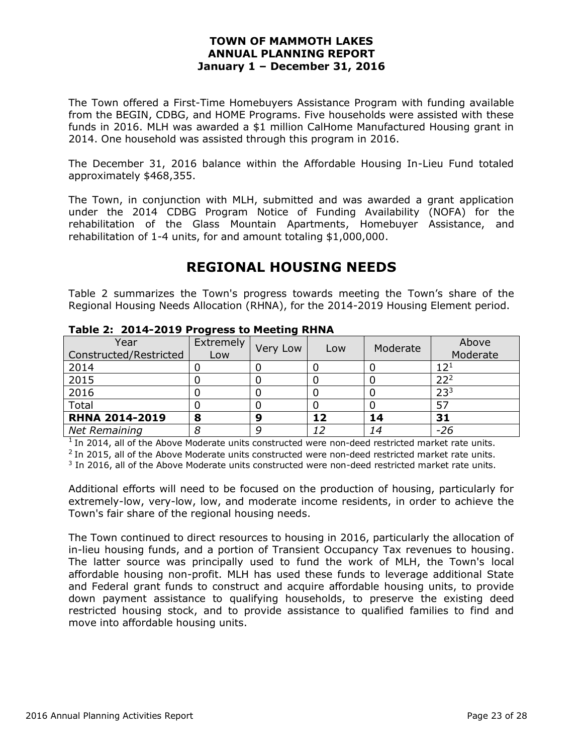The Town offered a First-Time Homebuyers Assistance Program with funding available from the BEGIN, CDBG, and HOME Programs. Five households were assisted with these funds in 2016. MLH was awarded a \$1 million CalHome Manufactured Housing grant in 2014. One household was assisted through this program in 2016.

The December 31, 2016 balance within the Affordable Housing In-Lieu Fund totaled approximately \$468,355.

The Town, in conjunction with MLH, submitted and was awarded a grant application under the 2014 CDBG Program Notice of Funding Availability (NOFA) for the rehabilitation of the Glass Mountain Apartments, Homebuyer Assistance, and rehabilitation of 1-4 units, for and amount totaling \$1,000,000.

# **REGIONAL HOUSING NEEDS**

Table 2 summarizes the Town's progress towards meeting the Town's share of the Regional Housing Needs Allocation (RHNA), for the 2014-2019 Housing Element period.

|                                | TUDIC ET EVIT EVID I TUGLCOO CO FICCONING INTINAT |          |     |          |                              |  |  |  |  |
|--------------------------------|---------------------------------------------------|----------|-----|----------|------------------------------|--|--|--|--|
| Year<br>Constructed/Restricted | Extremely<br>Low                                  | Very Low | Low | Moderate | Above<br>Moderate            |  |  |  |  |
|                                |                                                   |          |     |          |                              |  |  |  |  |
| 2014                           |                                                   |          |     |          | $12^{\scriptscriptstyle{1}}$ |  |  |  |  |
| 2015                           |                                                   |          |     |          | 22 <sup>2</sup>              |  |  |  |  |
| 2016                           |                                                   |          |     |          | 23 <sup>3</sup>              |  |  |  |  |
| Total                          |                                                   |          |     |          | 57                           |  |  |  |  |
| <b>RHNA 2014-2019</b>          | 8                                                 | 9        | 12  | 14       | 31                           |  |  |  |  |
| Net Remaining                  |                                                   | g        | 12  | 14       | $-26$                        |  |  |  |  |

**Table 2: 2014-2019 Progress to Meeting RHNA** 

 $<sup>1</sup>$  In 2014, all of the Above Moderate units constructed were non-deed restricted market rate units.</sup>

 $^{2}$  In 2015, all of the Above Moderate units constructed were non-deed restricted market rate units.

<sup>3</sup> In 2016, all of the Above Moderate units constructed were non-deed restricted market rate units.

Additional efforts will need to be focused on the production of housing, particularly for extremely-low, very-low, low, and moderate income residents, in order to achieve the Town's fair share of the regional housing needs.

The Town continued to direct resources to housing in 2016, particularly the allocation of in-lieu housing funds, and a portion of Transient Occupancy Tax revenues to housing. The latter source was principally used to fund the work of MLH, the Town's local affordable housing non-profit. MLH has used these funds to leverage additional State and Federal grant funds to construct and acquire affordable housing units, to provide down payment assistance to qualifying households, to preserve the existing deed restricted housing stock, and to provide assistance to qualified families to find and move into affordable housing units.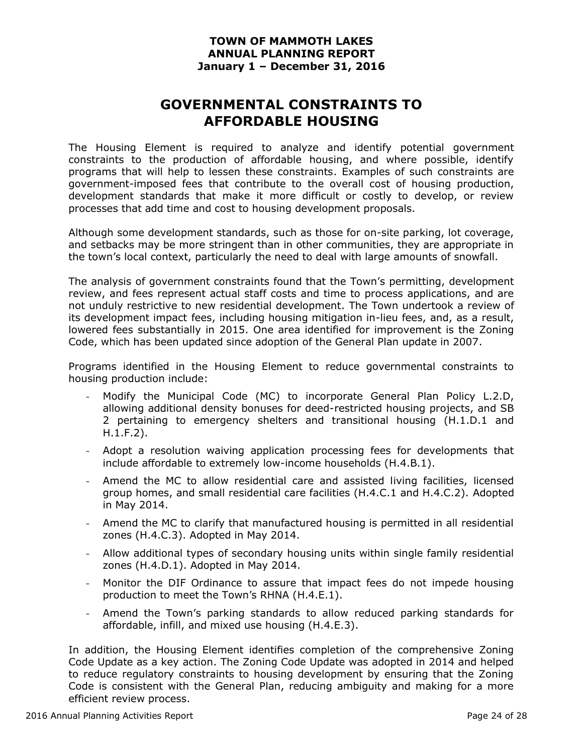# **GOVERNMENTAL CONSTRAINTS TO AFFORDABLE HOUSING**

The Housing Element is required to analyze and identify potential government constraints to the production of affordable housing, and where possible, identify programs that will help to lessen these constraints. Examples of such constraints are government-imposed fees that contribute to the overall cost of housing production, development standards that make it more difficult or costly to develop, or review processes that add time and cost to housing development proposals.

Although some development standards, such as those for on-site parking, lot coverage, and setbacks may be more stringent than in other communities, they are appropriate in the town's local context, particularly the need to deal with large amounts of snowfall.

The analysis of government constraints found that the Town's permitting, development review, and fees represent actual staff costs and time to process applications, and are not unduly restrictive to new residential development. The Town undertook a review of its development impact fees, including housing mitigation in-lieu fees, and, as a result, lowered fees substantially in 2015. One area identified for improvement is the Zoning Code, which has been updated since adoption of the General Plan update in 2007.

Programs identified in the Housing Element to reduce governmental constraints to housing production include:

- Modify the Municipal Code (MC) to incorporate General Plan Policy L.2.D, allowing additional density bonuses for deed-restricted housing projects, and SB 2 pertaining to emergency shelters and transitional housing (H.1.D.1 and H.1.F.2).
- Adopt a resolution waiving application processing fees for developments that include affordable to extremely low-income households (H.4.B.1).
- Amend the MC to allow residential care and assisted living facilities, licensed group homes, and small residential care facilities (H.4.C.1 and H.4.C.2). Adopted in May 2014.
- Amend the MC to clarify that manufactured housing is permitted in all residential zones (H.4.C.3). Adopted in May 2014.
- Allow additional types of secondary housing units within single family residential zones (H.4.D.1). Adopted in May 2014.
- Monitor the DIF Ordinance to assure that impact fees do not impede housing production to meet the Town's RHNA (H.4.E.1).
- Amend the Town's parking standards to allow reduced parking standards for affordable, infill, and mixed use housing (H.4.E.3).

In addition, the Housing Element identifies completion of the comprehensive Zoning Code Update as a key action. The Zoning Code Update was adopted in 2014 and helped to reduce regulatory constraints to housing development by ensuring that the Zoning Code is consistent with the General Plan, reducing ambiguity and making for a more efficient review process.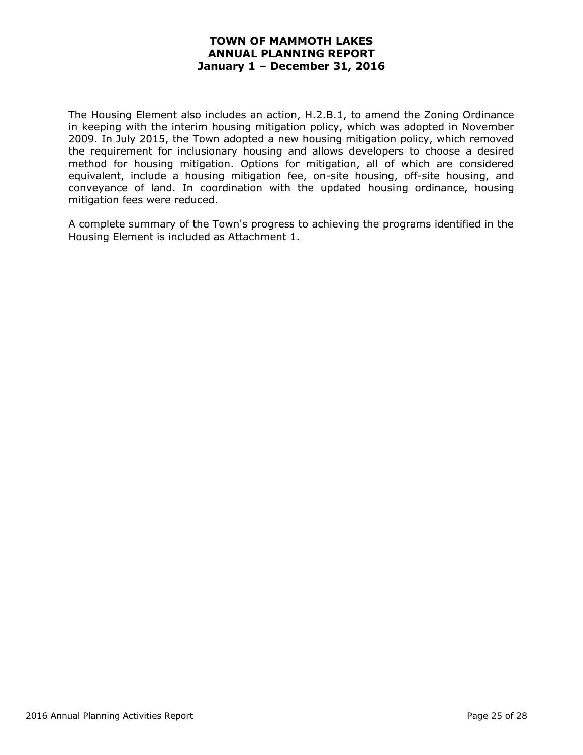The Housing Element also includes an action, H.2.B.1, to amend the Zoning Ordinance in keeping with the interim housing mitigation policy, which was adopted in November 2009. In July 2015, the Town adopted a new housing mitigation policy, which removed the requirement for inclusionary housing and allows developers to choose a desired method for housing mitigation. Options for mitigation, all of which are considered equivalent, include a housing mitigation fee, on-site housing, off-site housing, and conveyance of land. In coordination with the updated housing ordinance, housing mitigation fees were reduced.

A complete summary of the Town's progress to achieving the programs identified in the Housing Element is included as Attachment 1.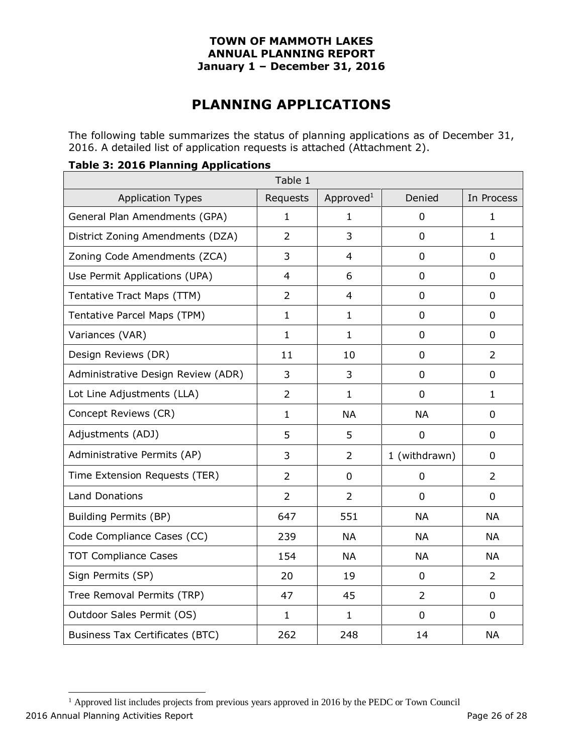# **PLANNING APPLICATIONS**

The following table summarizes the status of planning applications as of December 31, 2016. A detailed list of application requests is attached (Attachment 2).

#### **Table 3: 2016 Planning Applications**

|                                        | Table 1        |                       |                |                |
|----------------------------------------|----------------|-----------------------|----------------|----------------|
| <b>Application Types</b>               | Requests       | Approved <sup>1</sup> | Denied         | In Process     |
| General Plan Amendments (GPA)          | $\mathbf{1}$   | 1                     | 0              | $\mathbf{1}$   |
| District Zoning Amendments (DZA)       | $\overline{2}$ | 3                     | $\overline{0}$ | $\mathbf{1}$   |
| Zoning Code Amendments (ZCA)           | 3              | $\overline{4}$        | $\mathbf 0$    | $\Omega$       |
| Use Permit Applications (UPA)          | $\overline{4}$ | 6                     | 0              | $\mathbf 0$    |
| Tentative Tract Maps (TTM)             | $\overline{2}$ | $\overline{4}$        | $\overline{0}$ | $\mathbf 0$    |
| Tentative Parcel Maps (TPM)            | $\mathbf{1}$   | $\mathbf{1}$          | 0              | $\mathbf 0$    |
| Variances (VAR)                        | $\mathbf{1}$   | $\mathbf{1}$          | $\mathbf 0$    | $\mathbf 0$    |
| Design Reviews (DR)                    | 11             | 10                    | 0              | $\overline{2}$ |
| Administrative Design Review (ADR)     | 3              | 3                     | $\overline{0}$ | $\mathbf 0$    |
| Lot Line Adjustments (LLA)             | $\overline{2}$ | $\mathbf{1}$          | 0              | $\mathbf{1}$   |
| Concept Reviews (CR)                   | $\mathbf{1}$   | <b>NA</b>             | <b>NA</b>      | $\mathbf 0$    |
| Adjustments (ADJ)                      | 5              | 5                     | $\mathbf 0$    | $\Omega$       |
| Administrative Permits (AP)            | 3              | $\overline{2}$        | 1 (withdrawn)  | $\mathbf 0$    |
| Time Extension Requests (TER)          | $\overline{2}$ | $\mathbf 0$           | $\mathbf 0$    | 2              |
| <b>Land Donations</b>                  | $\overline{2}$ | $\overline{2}$        | $\overline{0}$ | $\mathbf 0$    |
| Building Permits (BP)                  | 647            | 551                   | <b>NA</b>      | <b>NA</b>      |
| Code Compliance Cases (CC)             | 239            | <b>NA</b>             | <b>NA</b>      | <b>NA</b>      |
| <b>TOT Compliance Cases</b>            | 154            | <b>NA</b>             | <b>NA</b>      | <b>NA</b>      |
| Sign Permits (SP)                      | 20             | 19                    | $\mathbf 0$    | 2              |
| Tree Removal Permits (TRP)             | 47             | 45                    | $\overline{2}$ | $\mathbf 0$    |
| Outdoor Sales Permit (OS)              | $\mathbf{1}$   | $\mathbf{1}$          | 0              | 0              |
| <b>Business Tax Certificates (BTC)</b> | 262            | 248                   | 14             | <b>NA</b>      |

2016 Annual Planning Activities Report **Page 26 of 28** and 2016 Annual Planning Activities Report  $<sup>1</sup>$  Approved list includes projects from previous years approved in 2016 by the PEDC or Town Council</sup>

 $\overline{a}$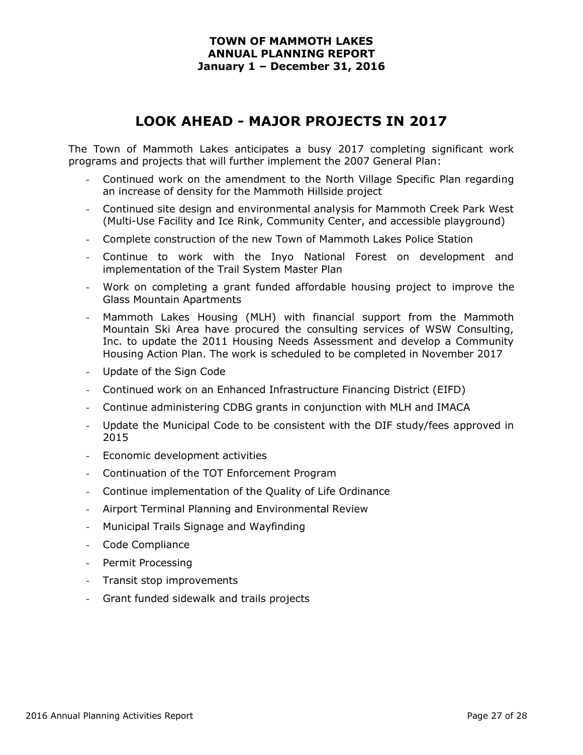# **LOOK AHEAD - MAJOR PROJECTS IN 2017**

The Town of Mammoth Lakes anticipates a busy 2017 completing significant work programs and projects that will further implement the 2007 General Plan:

- Continued work on the amendment to the North Village Specific Plan regarding an increase of density for the Mammoth Hillside project
- Continued site design and environmental analysis for Mammoth Creek Park West (Multi-Use Facility and Ice Rink, Community Center, and accessible playground)
- Complete construction of the new Town of Mammoth Lakes Police Station
- Continue to work with the Inyo National Forest on development and implementation of the Trail System Master Plan
- Work on completing a grant funded affordable housing project to improve the Glass Mountain Apartments
- Mammoth Lakes Housing (MLH) with financial support from the Mammoth Mountain Ski Area have procured the consulting services of WSW Consulting, Inc. to update the 2011 Housing Needs Assessment and develop a Community Housing Action Plan. The work is scheduled to be completed in November 2017
- Update of the Sign Code
- Continued work on an Enhanced Infrastructure Financing District (EIFD)
- Continue administering CDBG grants in conjunction with MLH and IMACA
- Update the Municipal Code to be consistent with the DIF study/fees approved in 2015
- Economic development activities
- Continuation of the TOT Enforcement Program
- Continue implementation of the Quality of Life Ordinance
- Airport Terminal Planning and Environmental Review
- Municipal Trails Signage and Wayfinding
- Code Compliance
- Permit Processing
- Transit stop improvements
- Grant funded sidewalk and trails projects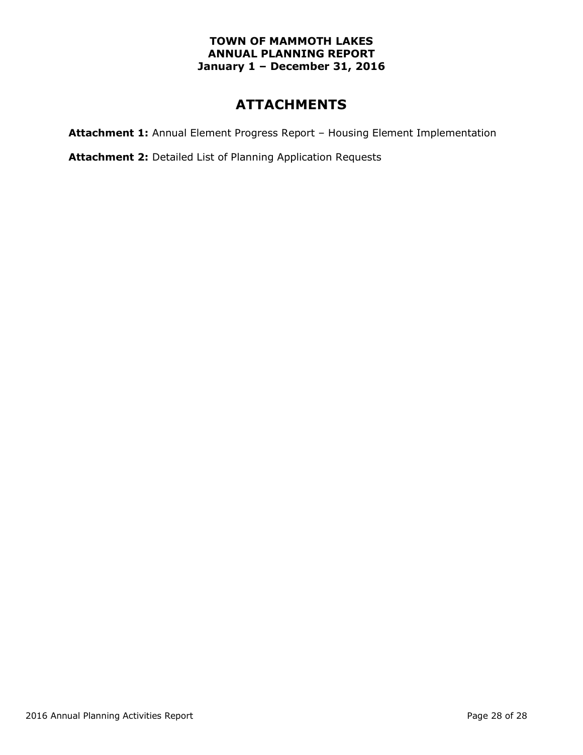# **ATTACHMENTS**

**Attachment 1:** Annual Element Progress Report – Housing Element Implementation

**Attachment 2:** Detailed List of Planning Application Requests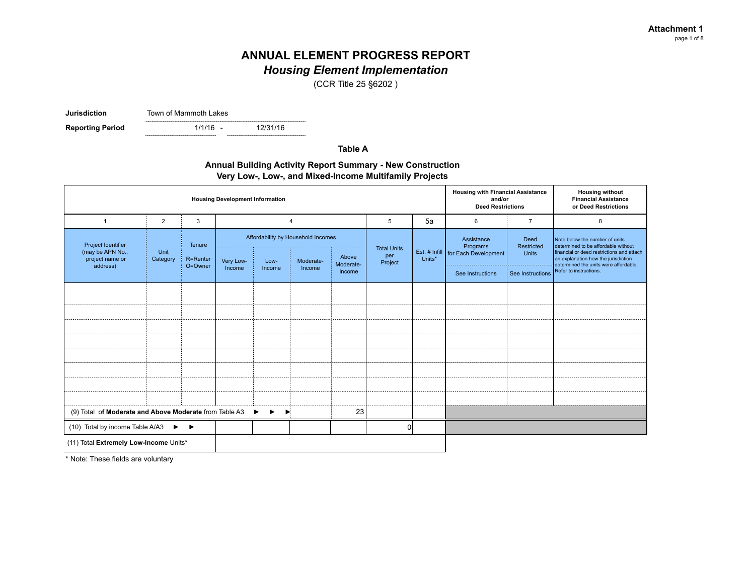*Housing Element Implementation*

(CCR Title 25 §6202 )

**Jurisdiction** Town of Mammoth Lakes

**Reporting Period** 

 $1/1/16 -$ 

12/31/16

#### **Table A**

#### **Annual Building Activity Report Summary - New Construction Very Low-, Low-, and Mixed-Income Multifamily Projects**

| <b>Housing Development Information</b>                   |                  |          |           |        |                                    |                    |                    |        | <b>Housing with Financial Assistance</b><br>and/or<br><b>Deed Restrictions</b> |                    | <b>Housing without</b><br><b>Financial Assistance</b><br>or Deed Restrictions |                  |                                                                                                                           |
|----------------------------------------------------------|------------------|----------|-----------|--------|------------------------------------|--------------------|--------------------|--------|--------------------------------------------------------------------------------|--------------------|-------------------------------------------------------------------------------|------------------|---------------------------------------------------------------------------------------------------------------------------|
| 1                                                        | $\overline{2}$   | 3        |           |        |                                    |                    | 5                  | 5a     | 6                                                                              | $\overline{7}$     | 8                                                                             |                  |                                                                                                                           |
| Project Identifier                                       |                  | Tenure   |           |        | Affordability by Household Incomes |                    | <b>Total Units</b> |        | Assistance<br>Programs                                                         | Deed<br>Restricted | Note below the number of units<br>determined to be affordable without         |                  |                                                                                                                           |
| (may be APN No.,<br>project name or                      | Unit<br>Category | R=Renter | Very Low- | Low-   | Moderate-                          | Above<br>Moderate- | per<br>Project     | Units* |                                                                                |                    | Est. # Infill   for Each Development                                          | <b>Units</b>     | financial or deed restrictions and attach<br>an explanation how the jurisdiction<br>determined the units were affordable. |
| address)                                                 |                  | O=Owner  | Income    | Income | Income                             | Income             |                    |        |                                                                                |                    | See Instructions                                                              | See Instructions | Refer to instructions.                                                                                                    |
|                                                          |                  |          |           |        |                                    |                    |                    |        |                                                                                |                    |                                                                               |                  |                                                                                                                           |
|                                                          |                  |          |           |        |                                    |                    |                    |        |                                                                                |                    |                                                                               |                  |                                                                                                                           |
|                                                          |                  |          |           |        |                                    |                    |                    |        |                                                                                |                    |                                                                               |                  |                                                                                                                           |
|                                                          |                  |          |           |        |                                    |                    |                    |        |                                                                                |                    |                                                                               |                  |                                                                                                                           |
|                                                          |                  |          |           |        |                                    |                    |                    |        |                                                                                |                    |                                                                               |                  |                                                                                                                           |
|                                                          |                  |          |           |        |                                    |                    |                    |        |                                                                                |                    |                                                                               |                  |                                                                                                                           |
|                                                          |                  |          |           |        |                                    |                    |                    |        |                                                                                |                    |                                                                               |                  |                                                                                                                           |
|                                                          |                  |          |           |        |                                    |                    |                    |        |                                                                                |                    |                                                                               |                  |                                                                                                                           |
| (9) Total of Moderate and Above Moderate from Table A3 ▶ |                  |          |           | ▸      |                                    | 23                 |                    |        |                                                                                |                    |                                                                               |                  |                                                                                                                           |
| (10) Total by income Table A/A3 $\blacktriangleright$    |                  |          |           |        |                                    |                    | $\Omega$           |        |                                                                                |                    |                                                                               |                  |                                                                                                                           |
| (11) Total Extremely Low-Income Units*                   |                  |          |           |        |                                    |                    |                    |        |                                                                                |                    |                                                                               |                  |                                                                                                                           |

\* Note: These fields are voluntary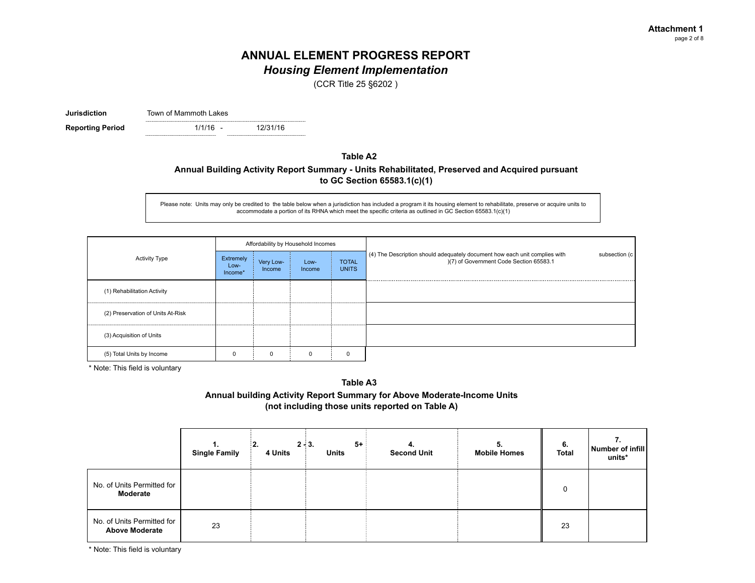*Housing Element Implementation*

(CCR Title 25 §6202 )

**Jurisdiction** Town of Mammoth Lakes

 $1/1/16 -$ **Reporting Period** 1/1/16 - 12/31/16

#### **Table A2**

#### **Annual Building Activity Report Summary - Units Rehabilitated, Preserved and Acquired pursuant to GC Section 65583.1(c)(1)**

Please note: Units may only be credited to the table below when a jurisdiction has included a program it its housing element to rehabilitate, preserve or acquire units to accommodate a portion of its RHNA which meet the specific criteria as outlined in GC Section 65583.1(c)(1)

|                                   |                              |                     | Affordability by Household Incomes |                              |                                                                                                                                        |
|-----------------------------------|------------------------------|---------------------|------------------------------------|------------------------------|----------------------------------------------------------------------------------------------------------------------------------------|
| <b>Activity Type</b>              | Extremely<br>Low-<br>Income* | Very Low-<br>Income | Low-<br>Income                     | <b>TOTAL</b><br><b>UNITS</b> | (4) The Description should adequately document how each unit complies with<br>subsection (c<br>)(7) of Government Code Section 65583.1 |
| (1) Rehabilitation Activity       |                              |                     |                                    |                              |                                                                                                                                        |
| (2) Preservation of Units At-Risk |                              |                     |                                    |                              |                                                                                                                                        |
| (3) Acquisition of Units          |                              |                     |                                    |                              |                                                                                                                                        |
| (5) Total Units by Income         |                              |                     |                                    |                              |                                                                                                                                        |

\* Note: This field is voluntary

#### **Table A3**

#### **Annual building Activity Report Summary for Above Moderate-Income Units (not including those units reported on Table A)**

|                                                     | 1.<br><b>Single Family</b> | 4 Units | $5+$<br>$2 - 3.$<br><b>Units</b> | 4.<br><b>Second Unit</b> | 5.<br><b>Mobile Homes</b> | 6.<br>Total | Number of infill<br>units* |
|-----------------------------------------------------|----------------------------|---------|----------------------------------|--------------------------|---------------------------|-------------|----------------------------|
| No. of Units Permitted for<br>Moderate              |                            |         |                                  |                          |                           | 0           |                            |
| No. of Units Permitted for<br><b>Above Moderate</b> | 23                         |         |                                  |                          |                           | 23          |                            |

\* Note: This field is voluntary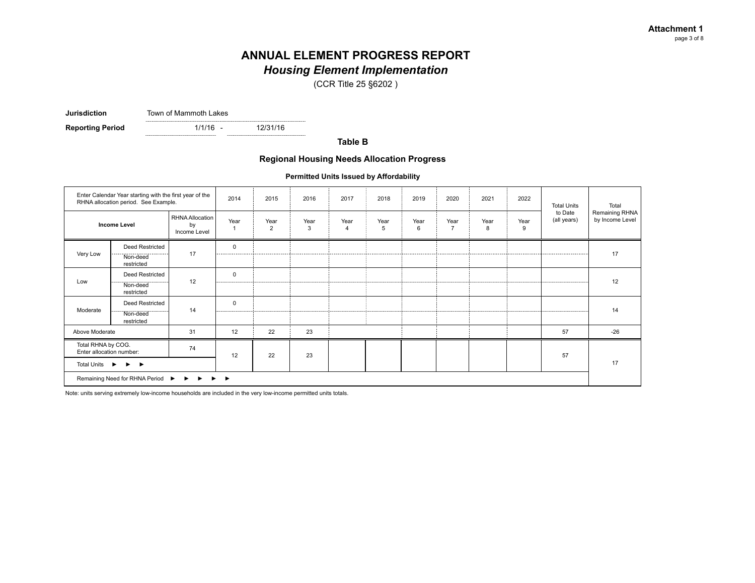### *Housing Element Implementation*

(CCR Title 25 §6202 )

**Jurisdiction** Town of Mammoth Lakes

 $1/1/16 -$ **Reporting Period** 1/1/16 - 12/31/16

**Table B**

#### **Regional Housing Needs Allocation Progress**

**Permitted Units Issued by Affordability**

|                                                | Enter Calendar Year starting with the first year of the<br>RHNA allocation period. See Example. |                                       | 2014         | 2015                   | 2016      | 2017                   | 2018      | 2019      | 2020                   | 2021      | 2022      | <b>Total Units</b>     | Total                             |
|------------------------------------------------|-------------------------------------------------------------------------------------------------|---------------------------------------|--------------|------------------------|-----------|------------------------|-----------|-----------|------------------------|-----------|-----------|------------------------|-----------------------------------|
|                                                | <b>Income Level</b>                                                                             | RHNA Allocation<br>by<br>Income Level | Year<br>1    | Year<br>$\overline{2}$ | Year<br>3 | Year<br>$\overline{4}$ | Year<br>5 | Year<br>6 | Year<br>$\overline{7}$ | Year<br>8 | Year<br>9 | to Date<br>(all years) | Remaining RHNA<br>by Income Level |
| Very Low                                       | <b>Deed Restricted</b><br>Non-deed<br>restricted                                                | 17                                    | $\Omega$<br> |                        |           |                        |           |           |                        |           |           |                        | 17                                |
| Low                                            | Deed Restricted<br>Non-deed<br>restricted                                                       | 12                                    | 0            |                        |           |                        |           |           |                        |           |           |                        | 12                                |
| Moderate                                       | Deed Restricted<br>Non-deed<br>restricted                                                       | 14                                    | 0            |                        |           |                        |           |           |                        |           |           |                        | 14                                |
| Above Moderate                                 |                                                                                                 | 31                                    | 12           | 22                     | 23        |                        |           |           |                        |           |           | 57                     | $-26$                             |
| Total RHNA by COG.<br>Enter allocation number: |                                                                                                 | 74                                    | 12           | 22                     | 23        |                        |           |           |                        |           |           | 57                     |                                   |
| <b>Total Units</b>                             | $\blacktriangleright$ $\blacktriangleright$<br>$\ddot{\phantom{1}}$                             |                                       |              |                        |           |                        |           |           |                        |           |           |                        | 17                                |
|                                                | Remaining Need for RHNA Period ▶ ▶ ▶ ▶ ▶                                                        |                                       |              |                        |           |                        |           |           |                        |           |           |                        |                                   |

Note: units serving extremely low-income households are included in the very low-income permitted units totals.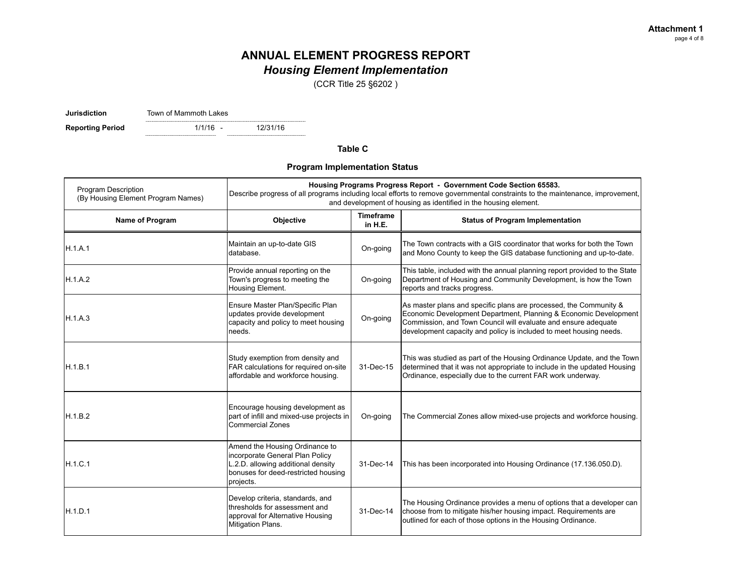*Housing Element Implementation*

(CCR Title 25 §6202 )

**Jurisdiction** Town of Mammoth Lakes

 $1/1/16 -$ **Reporting Period** 1/1/16 - 12/31/16

**Table C**

**Program Implementation Status**

| <b>Program Description</b><br>(By Housing Element Program Names) |                                                                                                                                                             | Housing Programs Progress Report - Government Code Section 65583.<br>Describe progress of all programs including local efforts to remove governmental constraints to the maintenance, improvement,<br>and development of housing as identified in the housing element. |                                                                                                                                                                                                                                                                               |  |  |  |  |  |
|------------------------------------------------------------------|-------------------------------------------------------------------------------------------------------------------------------------------------------------|------------------------------------------------------------------------------------------------------------------------------------------------------------------------------------------------------------------------------------------------------------------------|-------------------------------------------------------------------------------------------------------------------------------------------------------------------------------------------------------------------------------------------------------------------------------|--|--|--|--|--|
| Name of Program                                                  | Objective                                                                                                                                                   | <b>Timeframe</b><br>in H.E.                                                                                                                                                                                                                                            | <b>Status of Program Implementation</b>                                                                                                                                                                                                                                       |  |  |  |  |  |
| H.1.A.1                                                          | Maintain an up-to-date GIS<br>database.                                                                                                                     | On-going                                                                                                                                                                                                                                                               | The Town contracts with a GIS coordinator that works for both the Town<br>and Mono County to keep the GIS database functioning and up-to-date.                                                                                                                                |  |  |  |  |  |
| IH.1.A.2                                                         | Provide annual reporting on the<br>Town's progress to meeting the<br>Housing Element.                                                                       | On-going                                                                                                                                                                                                                                                               | This table, included with the annual planning report provided to the State<br>Department of Housing and Community Development, is how the Town<br>reports and tracks progress.                                                                                                |  |  |  |  |  |
| H.1.A.3                                                          | Ensure Master Plan/Specific Plan<br>updates provide development<br>capacity and policy to meet housing<br>needs.                                            | On-going                                                                                                                                                                                                                                                               | As master plans and specific plans are processed, the Community &<br>Economic Development Department, Planning & Economic Development<br>Commission, and Town Council will evaluate and ensure adequate<br>development capacity and policy is included to meet housing needs. |  |  |  |  |  |
| IH.1.B.1                                                         | Study exemption from density and<br>FAR calculations for required on-site<br>affordable and workforce housing.                                              | 31-Dec-15                                                                                                                                                                                                                                                              | This was studied as part of the Housing Ordinance Update, and the Town<br>determined that it was not appropriate to include in the updated Housing<br>Ordinance, especially due to the current FAR work underway.                                                             |  |  |  |  |  |
| H.1.B.2                                                          | Encourage housing development as<br>part of infill and mixed-use projects in<br><b>Commercial Zones</b>                                                     | On-going                                                                                                                                                                                                                                                               | The Commercial Zones allow mixed-use projects and workforce housing.                                                                                                                                                                                                          |  |  |  |  |  |
| H.1.C.1                                                          | Amend the Housing Ordinance to<br>incorporate General Plan Policy<br>L.2.D. allowing additional density<br>bonuses for deed-restricted housing<br>projects. | 31-Dec-14                                                                                                                                                                                                                                                              | This has been incorporated into Housing Ordinance (17.136.050.D).                                                                                                                                                                                                             |  |  |  |  |  |
| H.1.D.1                                                          | Develop criteria, standards, and<br>thresholds for assessment and<br>approval for Alternative Housing<br>Mitigation Plans.                                  | 31-Dec-14                                                                                                                                                                                                                                                              | The Housing Ordinance provides a menu of options that a developer can<br>choose from to mitigate his/her housing impact. Requirements are<br>outlined for each of those options in the Housing Ordinance.                                                                     |  |  |  |  |  |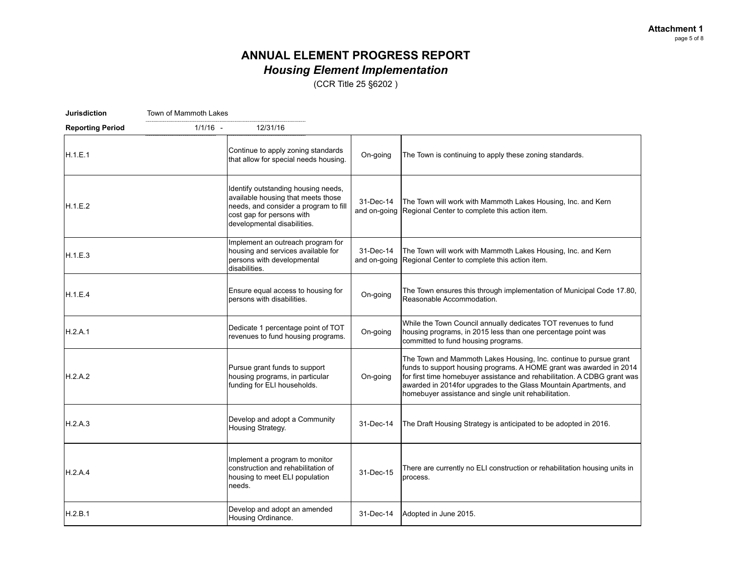# **ANNUAL ELEMENT PROGRESS REPORT** *Housing Element Implementation*

(CCR Title 25 §6202 )

| <b>Jurisdiction</b>     | Town of Mammoth Lakes |                                                                                                                                                                                |           |                                                                                                                                                                                                                                                                                                                                                    |
|-------------------------|-----------------------|--------------------------------------------------------------------------------------------------------------------------------------------------------------------------------|-----------|----------------------------------------------------------------------------------------------------------------------------------------------------------------------------------------------------------------------------------------------------------------------------------------------------------------------------------------------------|
| <b>Reporting Period</b> | $1/1/16 -$            | 12/31/16                                                                                                                                                                       |           |                                                                                                                                                                                                                                                                                                                                                    |
| H.1.E.1                 |                       | Continue to apply zoning standards<br>that allow for special needs housing.                                                                                                    | On-going  | The Town is continuing to apply these zoning standards.                                                                                                                                                                                                                                                                                            |
| H.1.E.2                 |                       | Identify outstanding housing needs,<br>available housing that meets those<br>needs, and consider a program to fill<br>cost gap for persons with<br>developmental disabilities. | 31-Dec-14 | The Town will work with Mammoth Lakes Housing, Inc. and Kern<br>and on-going Regional Center to complete this action item.                                                                                                                                                                                                                         |
| H.1.E.3                 |                       | Implement an outreach program for<br>housing and services available for<br>persons with developmental<br>disabilities.                                                         | 31-Dec-14 | The Town will work with Mammoth Lakes Housing, Inc. and Kern<br>and on-going Regional Center to complete this action item.                                                                                                                                                                                                                         |
| H.1.E.4                 |                       | Ensure equal access to housing for<br>persons with disabilities.                                                                                                               | On-going  | The Town ensures this through implementation of Municipal Code 17.80,<br>Reasonable Accommodation.                                                                                                                                                                                                                                                 |
| H.2.A.1                 |                       | Dedicate 1 percentage point of TOT<br>revenues to fund housing programs.                                                                                                       | On-going  | While the Town Council annually dedicates TOT revenues to fund<br>housing programs, in 2015 less than one percentage point was<br>committed to fund housing programs.                                                                                                                                                                              |
| H.2.A.2                 |                       | Pursue grant funds to support<br>housing programs, in particular<br>funding for ELI households.                                                                                | On-going  | The Town and Mammoth Lakes Housing, Inc. continue to pursue grant<br>funds to support housing programs. A HOME grant was awarded in 2014<br>for first time homebuyer assistance and rehabilitation. A CDBG grant was<br>awarded in 2014 for upgrades to the Glass Mountain Apartments, and<br>homebuyer assistance and single unit rehabilitation. |
| H.2.A.3                 |                       | Develop and adopt a Community<br>Housing Strategy.                                                                                                                             | 31-Dec-14 | The Draft Housing Strategy is anticipated to be adopted in 2016.                                                                                                                                                                                                                                                                                   |
| H.2.A.4                 |                       | Implement a program to monitor<br>construction and rehabilitation of<br>housing to meet ELI population<br>needs.                                                               | 31-Dec-15 | There are currently no ELI construction or rehabilitation housing units in<br>process.                                                                                                                                                                                                                                                             |
| H.2.B.1                 |                       | Develop and adopt an amended<br>Housing Ordinance.                                                                                                                             | 31-Dec-14 | Adopted in June 2015.                                                                                                                                                                                                                                                                                                                              |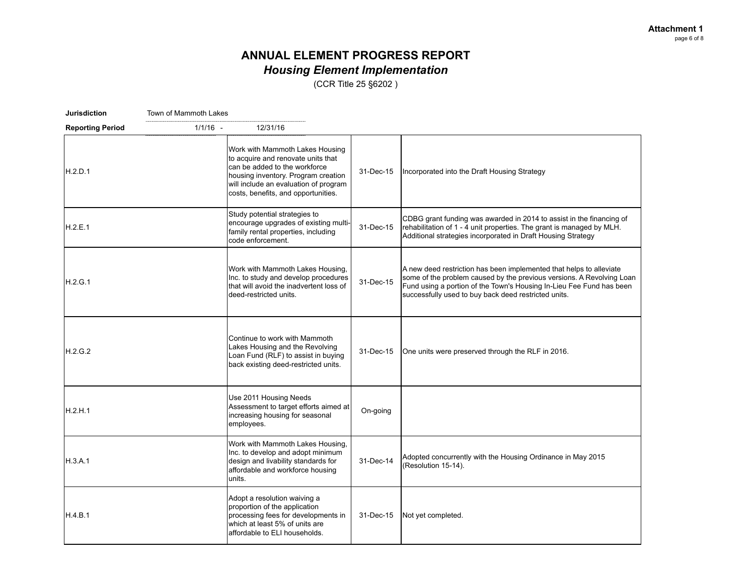# **ANNUAL ELEMENT PROGRESS REPORT** *Housing Element Implementation*

(CCR Title 25 §6202 )

| <b>Jurisdiction</b>     | Town of Mammoth Lakes |                                                                                                                                                                                                                               |           |                                                                                                                                                                                                                                                                              |
|-------------------------|-----------------------|-------------------------------------------------------------------------------------------------------------------------------------------------------------------------------------------------------------------------------|-----------|------------------------------------------------------------------------------------------------------------------------------------------------------------------------------------------------------------------------------------------------------------------------------|
| <b>Reporting Period</b> | $1/1/16 -$            | 12/31/16                                                                                                                                                                                                                      |           |                                                                                                                                                                                                                                                                              |
| H.2.D.1                 |                       | Work with Mammoth Lakes Housing<br>to acquire and renovate units that<br>can be added to the workforce<br>housing inventory. Program creation<br>will include an evaluation of program<br>costs, benefits, and opportunities. | 31-Dec-15 | Incorporated into the Draft Housing Strategy                                                                                                                                                                                                                                 |
| H.2.E.1                 |                       | Study potential strategies to<br>encourage upgrades of existing multi-<br>family rental properties, including<br>code enforcement.                                                                                            | 31-Dec-15 | CDBG grant funding was awarded in 2014 to assist in the financing of<br>rehabilitation of 1 - 4 unit properties. The grant is managed by MLH.<br>Additional strategies incorporated in Draft Housing Strategy                                                                |
| H.2.G.1                 |                       | Work with Mammoth Lakes Housing,<br>Inc. to study and develop procedures<br>that will avoid the inadvertent loss of<br>deed-restricted units.                                                                                 | 31-Dec-15 | A new deed restriction has been implemented that helps to alleviate<br>some of the problem caused by the previous versions. A Revolving Loan<br>Fund using a portion of the Town's Housing In-Lieu Fee Fund has been<br>successfully used to buy back deed restricted units. |
| H.2.G.2                 |                       | Continue to work with Mammoth<br>Lakes Housing and the Revolving<br>Loan Fund (RLF) to assist in buying<br>back existing deed-restricted units.                                                                               | 31-Dec-15 | One units were preserved through the RLF in 2016.                                                                                                                                                                                                                            |
| H.2.H.1                 |                       | Use 2011 Housing Needs<br>Assessment to target efforts aimed at<br>increasing housing for seasonal<br>employees.                                                                                                              | On-going  |                                                                                                                                                                                                                                                                              |
| H.3.A.1                 |                       | Work with Mammoth Lakes Housing,<br>Inc. to develop and adopt minimum<br>design and livability standards for<br>affordable and workforce housing<br>units.                                                                    | 31-Dec-14 | Adopted concurrently with the Housing Ordinance in May 2015<br>(Resolution 15-14).                                                                                                                                                                                           |
| H.4.B.1                 |                       | Adopt a resolution waiving a<br>proportion of the application<br>processing fees for developments in<br>which at least 5% of units are<br>affordable to ELI households.                                                       | 31-Dec-15 | Not yet completed.                                                                                                                                                                                                                                                           |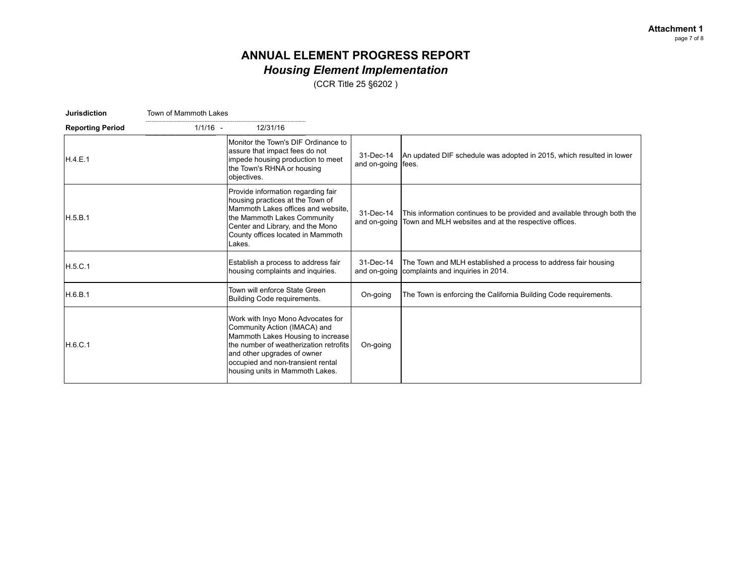# **ANNUAL ELEMENT PROGRESS REPORT** *Housing Element Implementation*

(CCR Title 25 §6202 )

**Jurisdiction** Town of Mammoth Lakes

| <b>Reporting Period</b> | $1/1/16 -$<br>12/31/16                                                                                                                                                                                                                                   |                                   |                                                                                                                                               |
|-------------------------|----------------------------------------------------------------------------------------------------------------------------------------------------------------------------------------------------------------------------------------------------------|-----------------------------------|-----------------------------------------------------------------------------------------------------------------------------------------------|
| IH.4.E.1                | Monitor the Town's DIF Ordinance to<br>assure that impact fees do not<br>impede housing production to meet<br>the Town's RHNA or housing<br>objectives.                                                                                                  | 31-Dec-14<br>and on-going   fees. | An updated DIF schedule was adopted in 2015, which resulted in lower                                                                          |
| IH.5.B.1                | Provide information regarding fair<br>housing practices at the Town of<br>Mammoth Lakes offices and website.<br>the Mammoth Lakes Community<br>Center and Library, and the Mono<br>County offices located in Mammoth<br>Lakes.                           | 31-Dec-14                         | This information continues to be provided and available through both the<br>and on-going Town and MLH websites and at the respective offices. |
| H.5.C.1                 | Establish a process to address fair<br>housing complaints and inquiries.                                                                                                                                                                                 | 31-Dec-14                         | The Town and MLH established a process to address fair housing<br>and on-going complaints and inquiries in 2014.                              |
| H.6.B.1                 | Town will enforce State Green<br>Building Code requirements.                                                                                                                                                                                             | On-going                          | The Town is enforcing the California Building Code requirements.                                                                              |
| H.6.C.1                 | Work with Inyo Mono Advocates for<br>Community Action (IMACA) and<br>Mammoth Lakes Housing to increase<br>Ithe number of weatherization retrofits<br>and other upgrades of owner<br>occupied and non-transient rental<br>housing units in Mammoth Lakes. | On-going                          |                                                                                                                                               |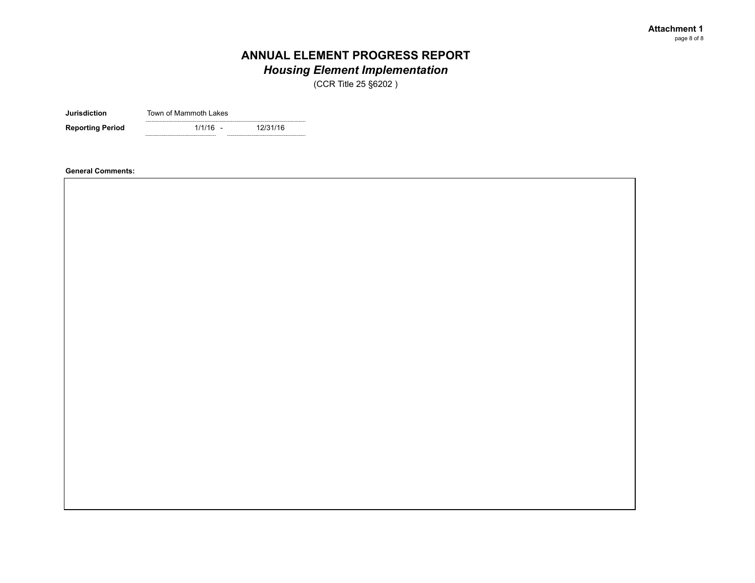*Housing Element Implementation*

(CCR Title 25 §6202 )

**Jurisdiction** Town of Mammoth Lakes

 $1/1/16 -$ **Reporting Period** 1/1/16 - 12/31/16

**General Comments:**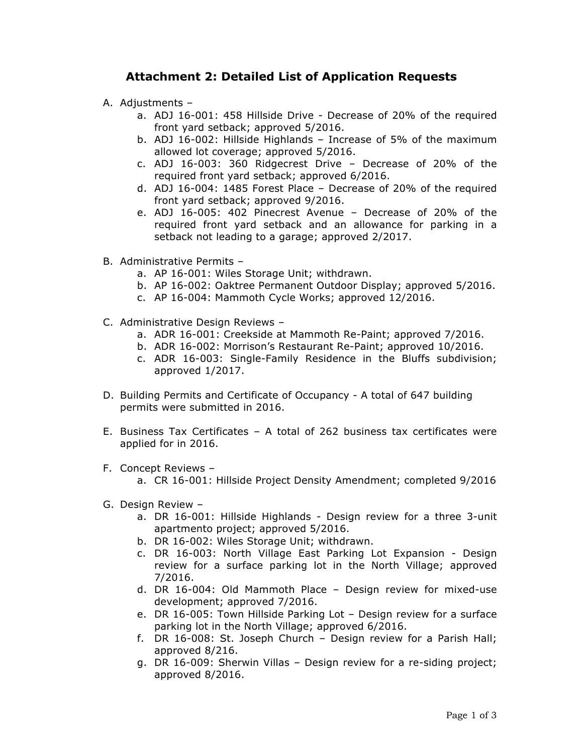# **Attachment 2: Detailed List of Application Requests**

- A. Adjustments
	- a. ADJ 16-001: 458 Hillside Drive Decrease of 20% of the required front yard setback; approved 5/2016.
	- b. ADJ 16-002: Hillside Highlands Increase of 5% of the maximum allowed lot coverage; approved 5/2016.
	- c. ADJ 16-003: 360 Ridgecrest Drive Decrease of 20% of the required front yard setback; approved 6/2016.
	- d. ADJ 16-004: 1485 Forest Place Decrease of 20% of the required front yard setback; approved 9/2016.
	- e. ADJ 16-005: 402 Pinecrest Avenue Decrease of 20% of the required front yard setback and an allowance for parking in a setback not leading to a garage; approved 2/2017.
- B. Administrative Permits
	- a. AP 16-001: Wiles Storage Unit; withdrawn.
	- b. AP 16-002: Oaktree Permanent Outdoor Display; approved 5/2016.
	- c. AP 16-004: Mammoth Cycle Works; approved 12/2016.
- C. Administrative Design Reviews
	- a. ADR 16-001: Creekside at Mammoth Re-Paint; approved 7/2016.
	- b. ADR 16-002: Morrison's Restaurant Re-Paint; approved 10/2016.
	- c. ADR 16-003: Single-Family Residence in the Bluffs subdivision; approved 1/2017.
- D. Building Permits and Certificate of Occupancy A total of 647 building permits were submitted in 2016.
- E. Business Tax Certificates A total of 262 business tax certificates were applied for in 2016.
- F. Concept Reviews
	- a. CR 16-001: Hillside Project Density Amendment; completed 9/2016
- G. Design Review
	- a. DR 16-001: Hillside Highlands Design review for a three 3-unit apartmento project; approved 5/2016.
	- b. DR 16-002: Wiles Storage Unit; withdrawn.
	- c. DR 16-003: North Village East Parking Lot Expansion Design review for a surface parking lot in the North Village; approved 7/2016.
	- d. DR 16-004: Old Mammoth Place Design review for mixed-use development; approved 7/2016.
	- e. DR 16-005: Town Hillside Parking Lot Design review for a surface parking lot in the North Village; approved 6/2016.
	- f. DR 16-008: St. Joseph Church Design review for a Parish Hall; approved 8/216.
	- g. DR 16-009: Sherwin Villas Design review for a re-siding project; approved 8/2016.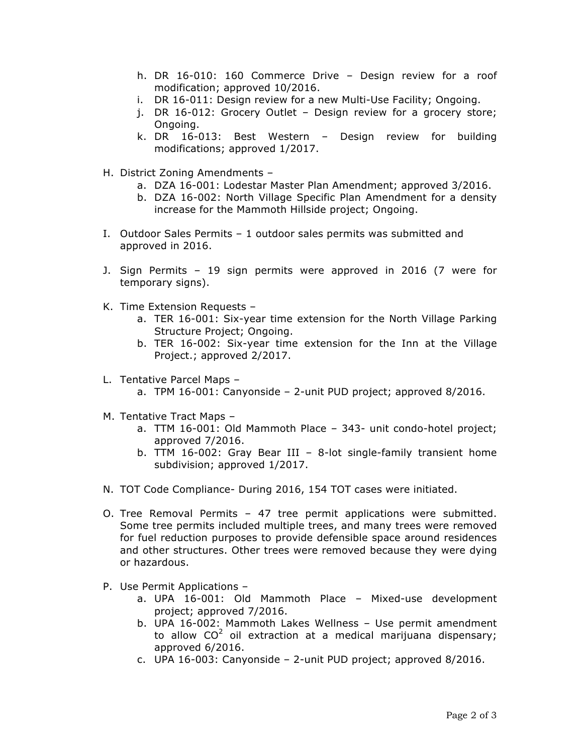- h. DR 16-010: 160 Commerce Drive Design review for a roof modification; approved 10/2016.
- i. DR 16-011: Design review for a new Multi-Use Facility; Ongoing.
- j. DR 16-012: Grocery Outlet Design review for a grocery store; Ongoing.
- k. DR 16-013: Best Western Design review for building modifications; approved 1/2017.
- H. District Zoning Amendments
	- a. DZA 16-001: Lodestar Master Plan Amendment; approved 3/2016.
	- b. DZA 16-002: North Village Specific Plan Amendment for a density increase for the Mammoth Hillside project; Ongoing.
- I. Outdoor Sales Permits 1 outdoor sales permits was submitted and approved in 2016.
- J. Sign Permits 19 sign permits were approved in 2016 (7 were for temporary signs).
- K. Time Extension Requests
	- a. TER 16-001: Six-year time extension for the North Village Parking Structure Project; Ongoing.
	- b. TER 16-002: Six-year time extension for the Inn at the Village Project.; approved 2/2017.
- L. Tentative Parcel Maps
	- a. TPM 16-001: Canyonside 2-unit PUD project; approved 8/2016.
- M. Tentative Tract Maps
	- a. TTM 16-001: Old Mammoth Place 343- unit condo-hotel project; approved 7/2016.
	- b. TTM 16-002: Gray Bear III 8-lot single-family transient home subdivision; approved 1/2017.
- N. TOT Code Compliance- During 2016, 154 TOT cases were initiated.
- O. Tree Removal Permits 47 tree permit applications were submitted. Some tree permits included multiple trees, and many trees were removed for fuel reduction purposes to provide defensible space around residences and other structures. Other trees were removed because they were dying or hazardous.
- P. Use Permit Applications
	- a. UPA 16-001: Old Mammoth Place Mixed-use development project; approved 7/2016.
	- b. UPA 16-002: Mammoth Lakes Wellness Use permit amendment to allow  $CO<sup>2</sup>$  oil extraction at a medical marijuana dispensary; approved 6/2016.
	- c. UPA 16-003: Canyonside 2-unit PUD project; approved 8/2016.